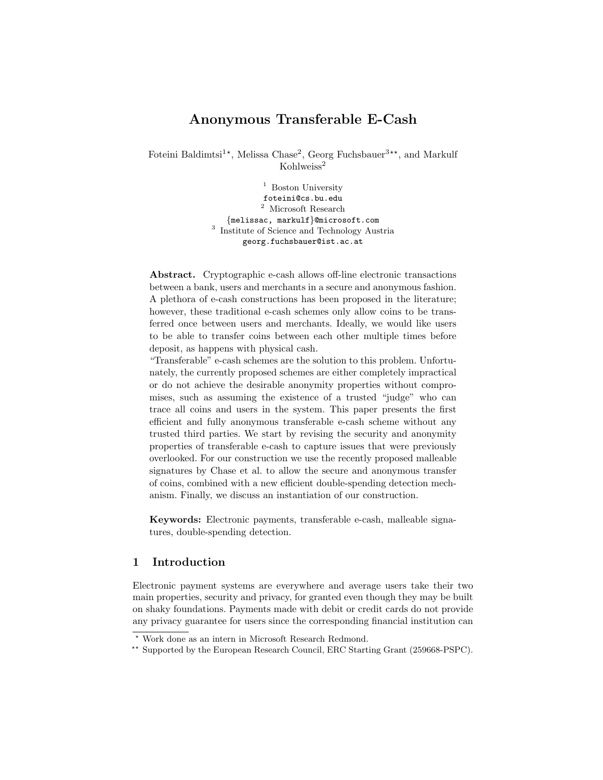# Anonymous Transferable E-Cash

Foteini Baldimtsi<sup>1\*</sup>, Melissa Chase<sup>2</sup>, Georg Fuchsbauer<sup>3\*\*</sup>, and Markulf  $\rm Kohlweis^2$ 

> <sup>1</sup> Boston University foteini@cs.bu.edu <sup>2</sup> Microsoft Research {melissac, markulf}@microsoft.com <sup>3</sup> Institute of Science and Technology Austria georg.fuchsbauer@ist.ac.at

Abstract. Cryptographic e-cash allows off-line electronic transactions between a bank, users and merchants in a secure and anonymous fashion. A plethora of e-cash constructions has been proposed in the literature; however, these traditional e-cash schemes only allow coins to be transferred once between users and merchants. Ideally, we would like users to be able to transfer coins between each other multiple times before deposit, as happens with physical cash.

"Transferable" e-cash schemes are the solution to this problem. Unfortunately, the currently proposed schemes are either completely impractical or do not achieve the desirable anonymity properties without compromises, such as assuming the existence of a trusted "judge" who can trace all coins and users in the system. This paper presents the first efficient and fully anonymous transferable e-cash scheme without any trusted third parties. We start by revising the security and anonymity properties of transferable e-cash to capture issues that were previously overlooked. For our construction we use the recently proposed malleable signatures by Chase et al. to allow the secure and anonymous transfer of coins, combined with a new efficient double-spending detection mechanism. Finally, we discuss an instantiation of our construction.

Keywords: Electronic payments, transferable e-cash, malleable signatures, double-spending detection.

## 1 Introduction

Electronic payment systems are everywhere and average users take their two main properties, security and privacy, for granted even though they may be built on shaky foundations. Payments made with debit or credit cards do not provide any privacy guarantee for users since the corresponding financial institution can

<sup>?</sup> Work done as an intern in Microsoft Research Redmond.

<sup>\*\*</sup> Supported by the European Research Council, ERC Starting Grant (259668-PSPC).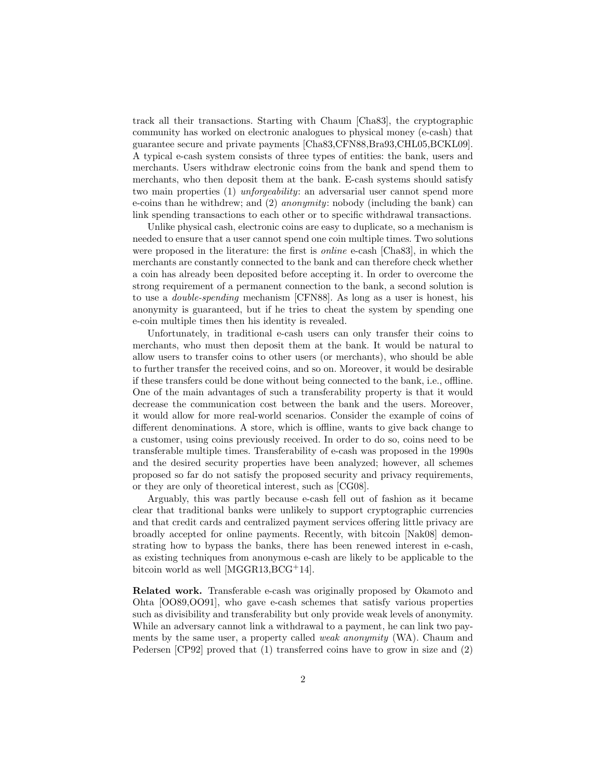track all their transactions. Starting with Chaum [Cha83], the cryptographic community has worked on electronic analogues to physical money (e-cash) that guarantee secure and private payments [Cha83,CFN88,Bra93,CHL05,BCKL09]. A typical e-cash system consists of three types of entities: the bank, users and merchants. Users withdraw electronic coins from the bank and spend them to merchants, who then deposit them at the bank. E-cash systems should satisfy two main properties (1) unforgeability: an adversarial user cannot spend more e-coins than he withdrew; and (2) anonymity: nobody (including the bank) can link spending transactions to each other or to specific withdrawal transactions.

Unlike physical cash, electronic coins are easy to duplicate, so a mechanism is needed to ensure that a user cannot spend one coin multiple times. Two solutions were proposed in the literature: the first is online e-cash [Cha83], in which the merchants are constantly connected to the bank and can therefore check whether a coin has already been deposited before accepting it. In order to overcome the strong requirement of a permanent connection to the bank, a second solution is to use a double-spending mechanism [CFN88]. As long as a user is honest, his anonymity is guaranteed, but if he tries to cheat the system by spending one e-coin multiple times then his identity is revealed.

Unfortunately, in traditional e-cash users can only transfer their coins to merchants, who must then deposit them at the bank. It would be natural to allow users to transfer coins to other users (or merchants), who should be able to further transfer the received coins, and so on. Moreover, it would be desirable if these transfers could be done without being connected to the bank, i.e., offline. One of the main advantages of such a transferability property is that it would decrease the communication cost between the bank and the users. Moreover, it would allow for more real-world scenarios. Consider the example of coins of different denominations. A store, which is offline, wants to give back change to a customer, using coins previously received. In order to do so, coins need to be transferable multiple times. Transferability of e-cash was proposed in the 1990s and the desired security properties have been analyzed; however, all schemes proposed so far do not satisfy the proposed security and privacy requirements, or they are only of theoretical interest, such as [CG08].

Arguably, this was partly because e-cash fell out of fashion as it became clear that traditional banks were unlikely to support cryptographic currencies and that credit cards and centralized payment services offering little privacy are broadly accepted for online payments. Recently, with bitcoin [Nak08] demonstrating how to bypass the banks, there has been renewed interest in e-cash, as existing techniques from anonymous e-cash are likely to be applicable to the bitcoin world as well [MGGR13,BCG<sup>+</sup>14].

Related work. Transferable e-cash was originally proposed by Okamoto and Ohta [OO89,OO91], who gave e-cash schemes that satisfy various properties such as divisibility and transferability but only provide weak levels of anonymity. While an adversary cannot link a withdrawal to a payment, he can link two payments by the same user, a property called weak anonymity (WA). Chaum and Pedersen [CP92] proved that (1) transferred coins have to grow in size and (2)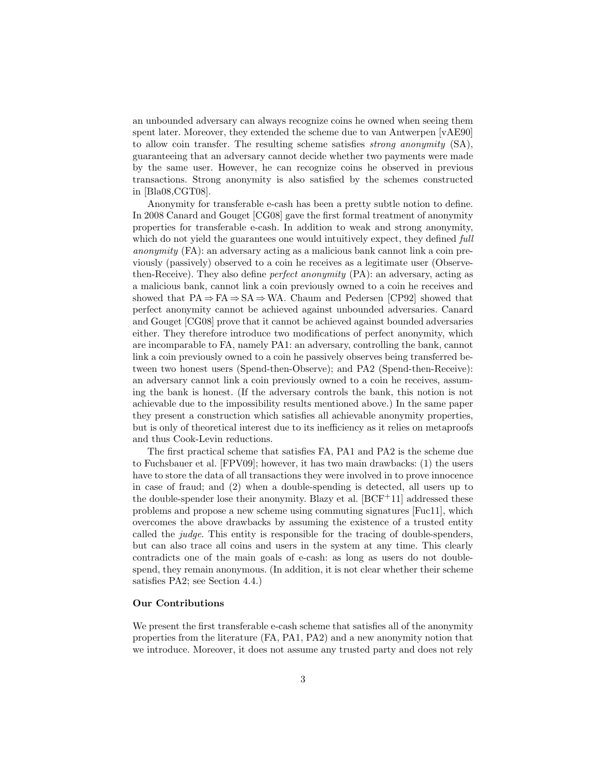an unbounded adversary can always recognize coins he owned when seeing them spent later. Moreover, they extended the scheme due to van Antwerpen [vAE90] to allow coin transfer. The resulting scheme satisfies strong anonymity (SA), guaranteeing that an adversary cannot decide whether two payments were made by the same user. However, he can recognize coins he observed in previous transactions. Strong anonymity is also satisfied by the schemes constructed in [Bla08,CGT08].

Anonymity for transferable e-cash has been a pretty subtle notion to define. In 2008 Canard and Gouget [CG08] gave the first formal treatment of anonymity properties for transferable e-cash. In addition to weak and strong anonymity, which do not yield the guarantees one would intuitively expect, they defined full anonymity (FA): an adversary acting as a malicious bank cannot link a coin previously (passively) observed to a coin he receives as a legitimate user (Observethen-Receive). They also define perfect anonymity (PA): an adversary, acting as a malicious bank, cannot link a coin previously owned to a coin he receives and showed that  $PA \Rightarrow FA \Rightarrow SA \Rightarrow WA$ . Chaum and Pedersen [CP92] showed that perfect anonymity cannot be achieved against unbounded adversaries. Canard and Gouget [CG08] prove that it cannot be achieved against bounded adversaries either. They therefore introduce two modifications of perfect anonymity, which are incomparable to FA, namely PA1: an adversary, controlling the bank, cannot link a coin previously owned to a coin he passively observes being transferred between two honest users (Spend-then-Observe); and PA2 (Spend-then-Receive): an adversary cannot link a coin previously owned to a coin he receives, assuming the bank is honest. (If the adversary controls the bank, this notion is not achievable due to the impossibility results mentioned above.) In the same paper they present a construction which satisfies all achievable anonymity properties, but is only of theoretical interest due to its inefficiency as it relies on metaproofs and thus Cook-Levin reductions.

The first practical scheme that satisfies FA, PA1 and PA2 is the scheme due to Fuchsbauer et al. [FPV09]; however, it has two main drawbacks: (1) the users have to store the data of all transactions they were involved in to prove innocence in case of fraud; and (2) when a double-spending is detected, all users up to the double-spender lose their anonymity. Blazy et al.  $[BCF<sup>+</sup>11]$  addressed these problems and propose a new scheme using commuting signatures [Fuc11], which overcomes the above drawbacks by assuming the existence of a trusted entity called the judge. This entity is responsible for the tracing of double-spenders, but can also trace all coins and users in the system at any time. This clearly contradicts one of the main goals of e-cash: as long as users do not doublespend, they remain anonymous. (In addition, it is not clear whether their scheme satisfies PA2; see Section 4.4.)

## Our Contributions

We present the first transferable e-cash scheme that satisfies all of the anonymity properties from the literature (FA, PA1, PA2) and a new anonymity notion that we introduce. Moreover, it does not assume any trusted party and does not rely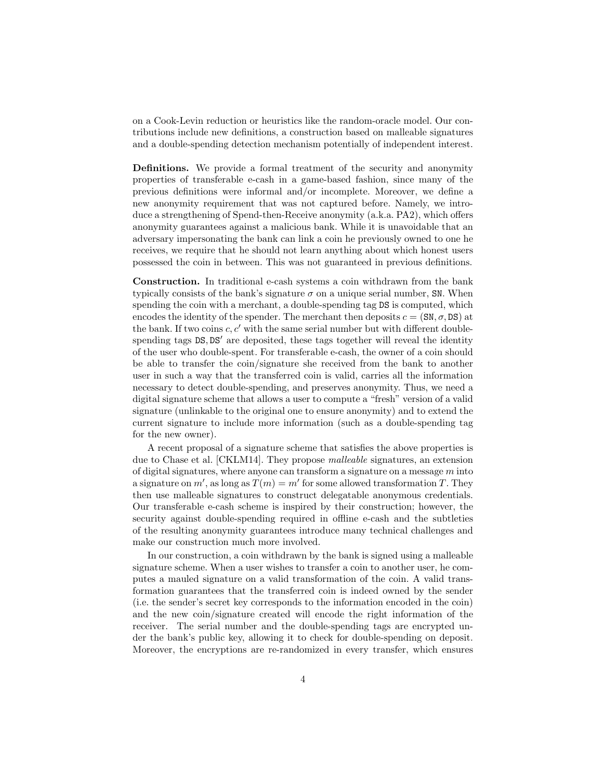on a Cook-Levin reduction or heuristics like the random-oracle model. Our contributions include new definitions, a construction based on malleable signatures and a double-spending detection mechanism potentially of independent interest.

Definitions. We provide a formal treatment of the security and anonymity properties of transferable e-cash in a game-based fashion, since many of the previous definitions were informal and/or incomplete. Moreover, we define a new anonymity requirement that was not captured before. Namely, we introduce a strengthening of Spend-then-Receive anonymity (a.k.a. PA2), which offers anonymity guarantees against a malicious bank. While it is unavoidable that an adversary impersonating the bank can link a coin he previously owned to one he receives, we require that he should not learn anything about which honest users possessed the coin in between. This was not guaranteed in previous definitions.

Construction. In traditional e-cash systems a coin withdrawn from the bank typically consists of the bank's signature  $\sigma$  on a unique serial number, SN. When spending the coin with a merchant, a double-spending tag DS is computed, which encodes the identity of the spender. The merchant then deposits  $c = (SN, \sigma, DS)$  at the bank. If two coins  $c, c'$  with the same serial number but with different doublespending tags  $DS$ ,  $DS'$  are deposited, these tags together will reveal the identity of the user who double-spent. For transferable e-cash, the owner of a coin should be able to transfer the coin/signature she received from the bank to another user in such a way that the transferred coin is valid, carries all the information necessary to detect double-spending, and preserves anonymity. Thus, we need a digital signature scheme that allows a user to compute a "fresh" version of a valid signature (unlinkable to the original one to ensure anonymity) and to extend the current signature to include more information (such as a double-spending tag for the new owner).

A recent proposal of a signature scheme that satisfies the above properties is due to Chase et al. [CKLM14]. They propose malleable signatures, an extension of digital signatures, where anyone can transform a signature on a message  $m$  into a signature on m', as long as  $T(m) = m'$  for some allowed transformation T. They then use malleable signatures to construct delegatable anonymous credentials. Our transferable e-cash scheme is inspired by their construction; however, the security against double-spending required in offline e-cash and the subtleties of the resulting anonymity guarantees introduce many technical challenges and make our construction much more involved.

In our construction, a coin withdrawn by the bank is signed using a malleable signature scheme. When a user wishes to transfer a coin to another user, he computes a mauled signature on a valid transformation of the coin. A valid transformation guarantees that the transferred coin is indeed owned by the sender (i.e. the sender's secret key corresponds to the information encoded in the coin) and the new coin/signature created will encode the right information of the receiver. The serial number and the double-spending tags are encrypted under the bank's public key, allowing it to check for double-spending on deposit. Moreover, the encryptions are re-randomized in every transfer, which ensures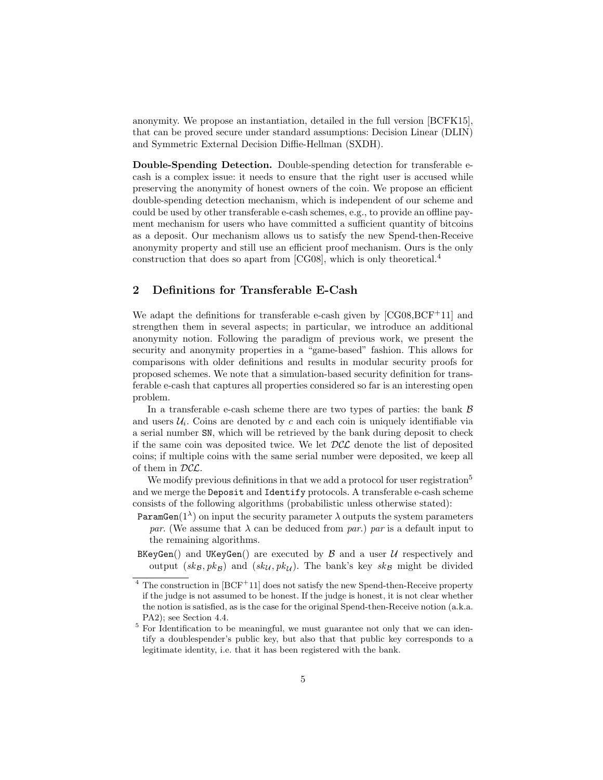anonymity. We propose an instantiation, detailed in the full version [BCFK15], that can be proved secure under standard assumptions: Decision Linear (DLIN) and Symmetric External Decision Diffie-Hellman (SXDH).

Double-Spending Detection. Double-spending detection for transferable ecash is a complex issue: it needs to ensure that the right user is accused while preserving the anonymity of honest owners of the coin. We propose an efficient double-spending detection mechanism, which is independent of our scheme and could be used by other transferable e-cash schemes, e.g., to provide an offline payment mechanism for users who have committed a sufficient quantity of bitcoins as a deposit. Our mechanism allows us to satisfy the new Spend-then-Receive anonymity property and still use an efficient proof mechanism. Ours is the only construction that does so apart from [CG08], which is only theoretical.<sup>4</sup>

## 2 Definitions for Transferable E-Cash

We adapt the definitions for transferable e-cash given by  $[{\rm CG08,BCF^+11}]$  and strengthen them in several aspects; in particular, we introduce an additional anonymity notion. Following the paradigm of previous work, we present the security and anonymity properties in a "game-based" fashion. This allows for comparisons with older definitions and results in modular security proofs for proposed schemes. We note that a simulation-based security definition for transferable e-cash that captures all properties considered so far is an interesting open problem.

In a transferable e-cash scheme there are two types of parties: the bank  $\beta$ and users  $\mathcal{U}_i$ . Coins are denoted by c and each coin is uniquely identifiable via a serial number SN, which will be retrieved by the bank during deposit to check if the same coin was deposited twice. We let  $DCL$  denote the list of deposited coins; if multiple coins with the same serial number were deposited, we keep all of them in DCL.

We modify previous definitions in that we add a protocol for user registration<sup>5</sup> and we merge the Deposit and Identify protocols. A transferable e-cash scheme consists of the following algorithms (probabilistic unless otherwise stated):

- ParamGen( $1^{\lambda}$ ) on input the security parameter  $\lambda$  outputs the system parameters par. (We assume that  $\lambda$  can be deduced from par.) par is a default input to the remaining algorithms.
- BKeyGen() and UKeyGen() are executed by  $\beta$  and a user  $\mathcal U$  respectively and output  $(s k_{\mathcal{B}}, p k_{\mathcal{B}})$  and  $(s k_{\mathcal{U}}, p k_{\mathcal{U}})$ . The bank's key  $s k_{\mathcal{B}}$  might be divided

 $4$  The construction in [BCF<sup>+</sup>11] does not satisfy the new Spend-then-Receive property if the judge is not assumed to be honest. If the judge is honest, it is not clear whether the notion is satisfied, as is the case for the original Spend-then-Receive notion (a.k.a. PA2); see Section 4.4.

<sup>&</sup>lt;sup>5</sup> For Identification to be meaningful, we must guarantee not only that we can identify a doublespender's public key, but also that that public key corresponds to a legitimate identity, i.e. that it has been registered with the bank.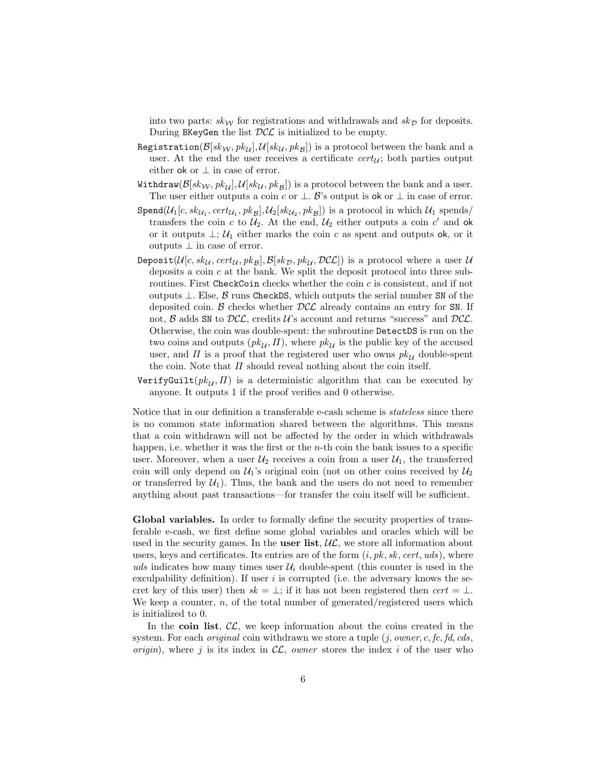into two parts:  $sk_W$  for registrations and withdrawals and  $sk_D$  for deposits. During BKeyGen the list  $DCL$  is initialized to be empty.

- Registration( $\mathcal{B}[sk_W, pk_U], \mathcal{U}[sk_U, pk_B]$ ) is a protocol between the bank and a user. At the end the user receives a certificate  $cert_{\mathcal{U}}$ ; both parties output either  $\mathsf{ok} \nightharpoonup \mathsf{in}$  case of error.
- Withdraw( $\mathcal{B}[sk_W, pk_U], \mathcal{U}[sk_U, pk_B]$ ) is a protocol between the bank and a user. The user either outputs a coin c or  $\perp$ . B's output is ok or  $\perp$  in case of error.
- $\texttt{Spend}(\mathcal{U}_1[c, sk_{\mathcal{U}_1}, cert_{\mathcal{U}_1}, pk_{\mathcal{B}}], \mathcal{U}_2[sk_{\mathcal{U}_2}, pk_{\mathcal{B}}])$  is a protocol in which  $\mathcal{U}_1$  spends/ transfers the coin c to  $\mathcal{U}_2$ . At the end,  $\mathcal{U}_2$  either outputs a coin c' and ok or it outputs  $\perp$ ;  $\mathcal{U}_1$  either marks the coin c as spent and outputs ok, or it outputs  $\perp$  in case of error.
- Deposit $(U[c, sk_{\mathcal{U}}, cert_{\mathcal{U}}, pk_{\mathcal{B}}], \mathcal{B}[sk_{\mathcal{D}}, pk_{\mathcal{U}}, \mathcal{DCL}])$  is a protocol where a user  $\mathcal{U}$ deposits a coin  $c$  at the bank. We split the deposit protocol into three subroutines. First CheckCoin checks whether the coin  $c$  is consistent, and if not outputs  $\perp$ . Else,  $\beta$  runs CheckDS, which outputs the serial number SN of the deposited coin.  $\beta$  checks whether  $DCL$  already contains an entry for SN. If not,  $\beta$  adds SN to DCL, credits U's account and returns "success" and DCL. Otherwise, the coin was double-spent: the subroutine DetectDS is run on the two coins and outputs  $(pk_{\mathcal{U}}, \Pi)$ , where  $pk_{\mathcal{U}}$  is the public key of the accused user, and  $\Pi$  is a proof that the registered user who owns  $pk_{\mathcal{U}}$  double-spent the coin. Note that  $\Pi$  should reveal nothing about the coin itself.
- VerifyGuilt $(pk_{\mathcal{U}}, H)$  is a deterministic algorithm that can be executed by anyone. It outputs 1 if the proof verifies and 0 otherwise.

Notice that in our definition a transferable e-cash scheme is stateless since there is no common state information shared between the algorithms. This means that a coin withdrawn will not be affected by the order in which withdrawals happen, i.e. whether it was the first or the  $n$ -th coin the bank issues to a specific user. Moreover, when a user  $\mathcal{U}_2$  receives a coin from a user  $\mathcal{U}_1$ , the transferred coin will only depend on  $\mathcal{U}_1$ 's original coin (not on other coins received by  $\mathcal{U}_2$ or transferred by  $\mathcal{U}_1$ ). Thus, the bank and the users do not need to remember anything about past transactions—for transfer the coin itself will be sufficient.

Global variables. In order to formally define the security properties of transferable e-cash, we first define some global variables and oracles which will be used in the security games. In the **user list**,  $\mathcal{UL}$ , we store all information about users, keys and certificates. Its entries are of the form  $(i, pk, sk, cert, uds)$ , where uds indicates how many times user  $\mathcal{U}_i$  double-spent (this counter is used in the exculpability definition). If user  $i$  is corrupted (i.e. the adversary knows the secret key of this user) then  $sk = \perp$ ; if it has not been registered then  $cert = \perp$ . We keep a counter,  $n$ , of the total number of generated/registered users which is initialized to 0.

In the coin list,  $\mathcal{CL}$ , we keep information about the coins created in the system. For each *original* coin withdrawn we store a tuple  $(j, owner, c, fc, fd, cds,$ *origin*), where j is its index in  $CL$ , *owner* stores the index i of the user who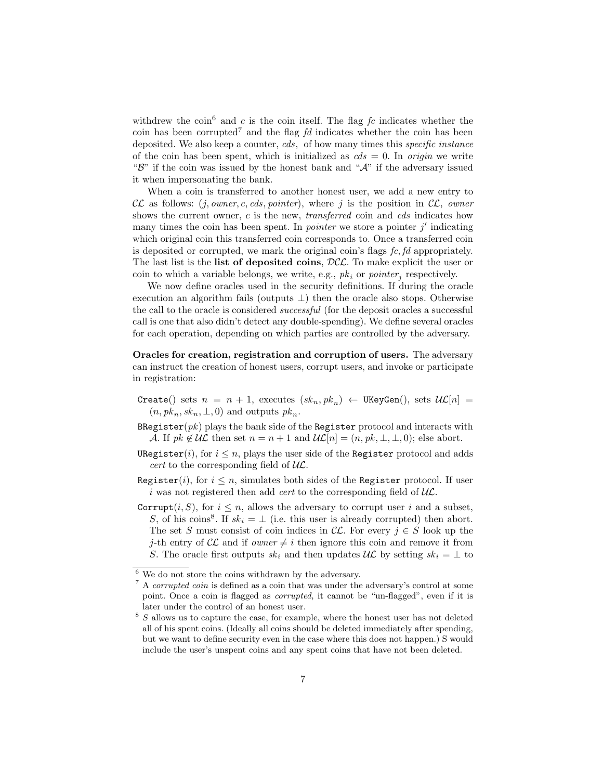withdrew the coin<sup>6</sup> and c is the coin itself. The flag  $fc$  indicates whether the coin has been corrupted<sup>7</sup> and the flag  $fd$  indicates whether the coin has been deposited. We also keep a counter, cds, of how many times this specific instance of the coin has been spent, which is initialized as  $cds = 0$ . In origin we write " $\mathcal{B}$ " if the coin was issued by the honest bank and " $\mathcal{A}$ " if the adversary issued it when impersonating the bank.

When a coin is transferred to another honest user, we add a new entry to CL as follows:  $(j, owner, c, cds, pointer)$ , where j is the position in CL, owner shows the current owner, c is the new, *transferred* coin and cds indicates how many times the coin has been spent. In *pointer* we store a pointer  $j'$  indicating which original coin this transferred coin corresponds to. Once a transferred coin is deposited or corrupted, we mark the original coin's flags  $fc, fd$  appropriately. The last list is the **list of deposited coins**,  $DCL$ . To make explicit the user or coin to which a variable belongs, we write, e.g.,  $pk_i$  or  $pointer_j$  respectively.

We now define oracles used in the security definitions. If during the oracle execution an algorithm fails (outputs  $\perp$ ) then the oracle also stops. Otherwise the call to the oracle is considered successful (for the deposit oracles a successful call is one that also didn't detect any double-spending). We define several oracles for each operation, depending on which parties are controlled by the adversary.

Oracles for creation, registration and corruption of users. The adversary can instruct the creation of honest users, corrupt users, and invoke or participate in registration:

- Create() sets  $n = n + 1$ , executes  $(k_n, pk_n) \leftarrow$  UKeyGen(), sets  $\mathcal{UL}[n] =$  $(n, pk_n, sk_n, \perp, 0)$  and outputs  $pk_n$ .
- $B$ Register $(pk)$  plays the bank side of the Register protocol and interacts with A. If  $pk \notin \mathcal{UL}$  then set  $n = n + 1$  and  $\mathcal{UL}[n] = (n, pk, \perp, \perp, 0)$ ; else abort.
- URegister(i), for  $i \leq n$ , plays the user side of the Register protocol and adds cert to the corresponding field of  $U\mathcal{L}$ .
- Register(i), for  $i \leq n$ , simulates both sides of the Register protocol. If user i was not registered then add *cert* to the corresponding field of  $\mathcal{UL}$ .
- Corrupt $(i, S)$ , for  $i \leq n$ , allows the adversary to corrupt user i and a subset, S, of his coins<sup>8</sup>. If  $sk_i = \perp$  (i.e. this user is already corrupted) then abort. The set S must consist of coin indices in  $\mathcal{CL}$ . For every  $j \in S$  look up the *j*-th entry of  $\mathcal{CL}$  and if *owner*  $\neq i$  then ignore this coin and remove it from S. The oracle first outputs  $sk_i$  and then updates  $\mathcal{UL}$  by setting  $sk_i = \perp$  to

 $6$  We do not store the coins withdrawn by the adversary.

 $7 A$  corrupted coin is defined as a coin that was under the adversary's control at some point. Once a coin is flagged as corrupted, it cannot be "un-flagged", even if it is later under the control of an honest user.

 $8 S$  allows us to capture the case, for example, where the honest user has not deleted all of his spent coins. (Ideally all coins should be deleted immediately after spending, but we want to define security even in the case where this does not happen.) S would include the user's unspent coins and any spent coins that have not been deleted.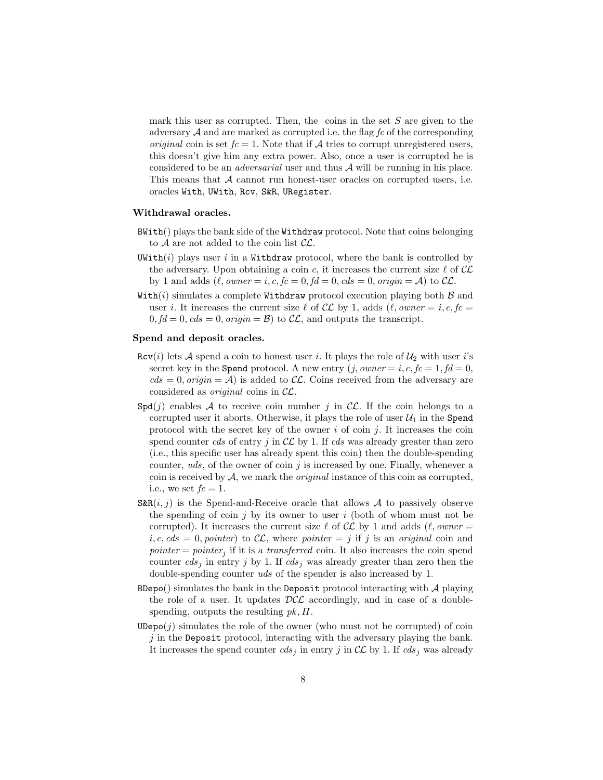mark this user as corrupted. Then, the coins in the set  $S$  are given to the adversary  $A$  and are marked as corrupted i.e. the flag  $fc$  of the corresponding *original* coin is set  $fc = 1$ . Note that if A tries to corrupt unregistered users, this doesn't give him any extra power. Also, once a user is corrupted he is considered to be an *adversarial* user and thus  $A$  will be running in his place. This means that  $A$  cannot run honest-user oracles on corrupted users, i.e. oracles With, UWith, Rcv, S&R, URegister.

## Withdrawal oracles.

- BWith() plays the bank side of the Withdraw protocol. Note that coins belonging to A are not added to the coin list  $CL$ .
- UWith $(i)$  plays user i in a Withdraw protocol, where the bank is controlled by the adversary. Upon obtaining a coin c, it increases the current size  $\ell$  of  $\mathcal{CL}$ by 1 and adds  $(\ell, owner = i, c, fc = 0, fd = 0, cds = 0, origin = A)$  to  $CL$ .
- With $(i)$  simulates a complete Withdraw protocol execution playing both  $\beta$  and user *i*. It increases the current size  $\ell$  of  $\mathcal{CL}$  by 1, adds  $(\ell, owner = i, c, fc =$  $0, fd = 0, cds = 0, origin = B$  to  $\mathcal{CL}$ , and outputs the transcript.

## Spend and deposit oracles.

- Rcv(i) lets A spend a coin to honest user i. It plays the role of  $\mathcal{U}_2$  with user i's secret key in the Spend protocol. A new entry  $(j, owner = i, c, fc = 1, fd = 0,$  $cds = 0$ , origin = A) is added to CL. Coins received from the adversary are considered as original coins in CL.
- $Spd(j)$  enables A to receive coin number j in CL. If the coin belongs to a corrupted user it aborts. Otherwise, it plays the role of user  $\mathcal{U}_1$  in the Spend protocol with the secret key of the owner  $i$  of coin  $j$ . It increases the coin spend counter cds of entry j in  $\mathcal{CL}$  by 1. If cds was already greater than zero (i.e., this specific user has already spent this coin) then the double-spending counter, uds, of the owner of coin j is increased by one. Finally, whenever a coin is received by  $A$ , we mark the *original* instance of this coin as corrupted, i.e., we set  $fc = 1$ .
- $S\&R(i, j)$  is the Spend-and-Receive oracle that allows A to passively observe the spending of coin  $j$  by its owner to user  $i$  (both of whom must not be corrupted). It increases the current size  $\ell$  of  $\mathcal{CL}$  by 1 and adds  $(\ell, owner =$  $i, c, cds = 0$ , pointer) to  $\mathcal{CL}$ , where pointer = j if j is an original coin and  $\textit{pointer} = \textit{pointer}_j$  if it is a *transferred* coin. It also increases the coin spend counter  $cds_j$  in entry j by 1. If  $cds_j$  was already greater than zero then the double-spending counter uds of the spender is also increased by 1.
- $BDepo()$  simulates the bank in the Deposit protocol interacting with  $A$  playing the role of a user. It updates  $DCL$  accordingly, and in case of a doublespending, outputs the resulting  $pk$ ,  $\Pi$ .
- UDepo(i) simulates the role of the owner (who must not be corrupted) of coin  $j$  in the Deposit protocol, interacting with the adversary playing the bank. It increases the spend counter  $cds_j$  in entry j in  $\mathcal{CL}$  by 1. If  $cds_j$  was already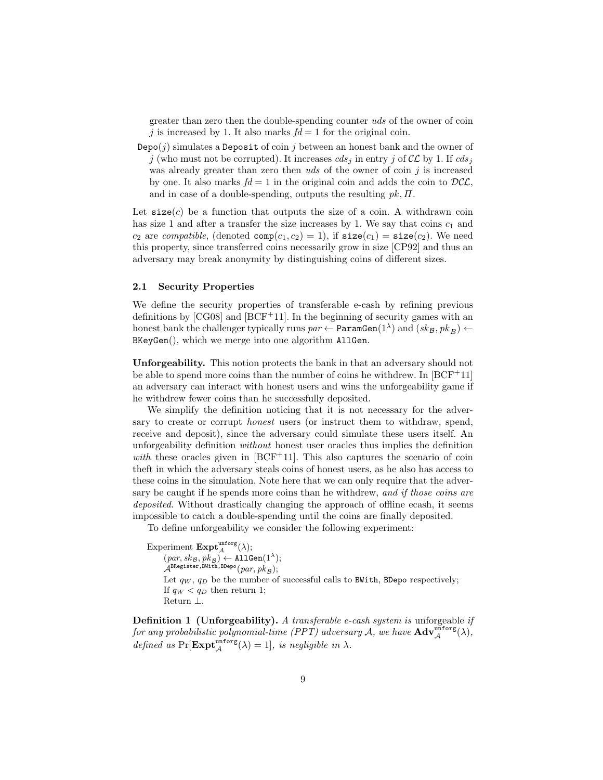greater than zero then the double-spending counter uds of the owner of coin j is increased by 1. It also marks  $fd = 1$  for the original coin.

 $Depo(j)$  simulates a Deposit of coin j between an honest bank and the owner of j (who must not be corrupted). It increases  $cds_j$  in entry j of  $\mathcal{CL}$  by 1. If  $cds_j$ was already greater than zero then  $uds$  of the owner of coin j is increased by one. It also marks  $fd = 1$  in the original coin and adds the coin to  $DCL$ , and in case of a double-spending, outputs the resulting  $pk$ ,  $\Pi$ .

Let  $size(c)$  be a function that outputs the size of a coin. A withdrawn coin has size 1 and after a transfer the size increases by 1. We say that coins  $c_1$  and  $c_2$  are compatible, (denoted comp $(c_1, c_2) = 1$ ), if  $size(c_1) = size(c_2)$ . We need this property, since transferred coins necessarily grow in size [CP92] and thus an adversary may break anonymity by distinguishing coins of different sizes.

## 2.1 Security Properties

We define the security properties of transferable e-cash by refining previous definitions by  $[CG08]$  and  $[BCF<sup>+</sup>11]$ . In the beginning of security games with an honest bank the challenger typically runs  $par \leftarrow \texttt{ParamGen}(1^{\lambda})$  and  $(s k_{\mathcal{B}}, p k_{\mathcal{B}}) \leftarrow$ BKeyGen(), which we merge into one algorithm AllGen.

Unforgeability. This notion protects the bank in that an adversary should not be able to spend more coins than the number of coins he withdrew. In  $[BCF^+11]$ an adversary can interact with honest users and wins the unforgeability game if he withdrew fewer coins than he successfully deposited.

We simplify the definition noticing that it is not necessary for the adversary to create or corrupt *honest* users (or instruct them to withdraw, spend, receive and deposit), since the adversary could simulate these users itself. An unforgeability definition without honest user oracles thus implies the definition with these oracles given in  $[BCF^+11]$ . This also captures the scenario of coin theft in which the adversary steals coins of honest users, as he also has access to these coins in the simulation. Note here that we can only require that the adversary be caught if he spends more coins than he withdrew, and if those coins are deposited. Without drastically changing the approach of offline ecash, it seems impossible to catch a double-spending until the coins are finally deposited.

To define unforgeability we consider the following experiment:

Experiment  $\mathbf{Expt}_{\mathcal{A}}^{\text{unforg}}(\lambda);$  $(\text{par}, \text{sk}_{\mathcal{B}}, \text{pk}_{\mathcal{B}}) \leftarrow \texttt{AllGen}(1^{\lambda});$  $\mathcal{A}^{\texttt{BRegister},\texttt{BWith},\texttt{BDepo}}(par, pk_{\mathcal{B}});$ Let  $q_W$ ,  $q_D$  be the number of successful calls to BWith, BDepo respectively; If  $q_W < q_D$  then return 1; Return ⊥.

Definition 1 (Unforgeability). A transferable e-cash system is unforgeable if for any probabilistic polynomial-time (PPT) adversary  $\mathcal{A}$ , we have  $\mathbf{Adv}_{\mathcal{A}}^{\text{unforg}}(\lambda)$ , defined as  $Pr[\mathbf{Expt}_{\mathcal{A}}^{\text{unforg}}(\lambda) = 1]$ , is negligible in  $\lambda$ .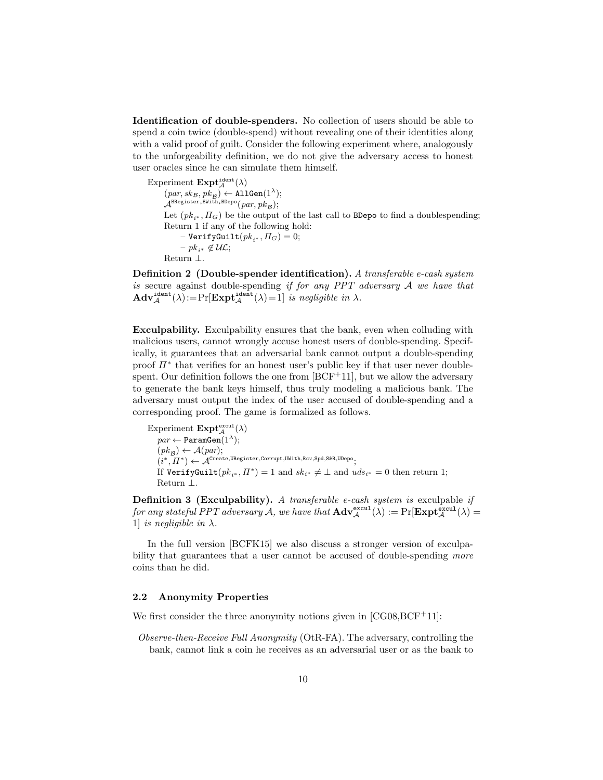Identification of double-spenders. No collection of users should be able to spend a coin twice (double-spend) without revealing one of their identities along with a valid proof of guilt. Consider the following experiment where, analogously to the unforgeability definition, we do not give the adversary access to honest user oracles since he can simulate them himself.

Experiment  $\mathbf{Expt}_{\mathcal{A}}^{\text{ident}}(\lambda)$  $(\textit{par}, \textit{sk}_\mathcal{B}, \textit{pk}_\mathcal{B}) \leftarrow \texttt{AllGen}(1^\lambda);$  $\mathcal{A}^{\texttt{BRegister},\texttt{BWith},\texttt{BDepo}}(par, pk_{\mathcal{B}});$ Let  $(pk_{i*}, \Pi_G)$  be the output of the last call to BDepo to find a doublespending; Return 1 if any of the following hold:  $-$  VerifyGuilt $(pk_{i*}, \Pi_G) = 0;$  $- pk_{i*} \not\in \mathcal{UL};$ Return ⊥.

Definition 2 (Double-spender identification). A transferable e-cash system is secure against double-spending if for any PPT adversary A we have that  $\mathbf{Adv}_{\mathcal{A}}^{\mathbf{ident}}(\lambda) := \Pr[\mathbf{Expt}_{\mathcal{A}}^{\mathbf{ident}}(\lambda) = 1]$  is negligible in  $\lambda$ .

Exculpability. Exculpability ensures that the bank, even when colluding with malicious users, cannot wrongly accuse honest users of double-spending. Specifically, it guarantees that an adversarial bank cannot output a double-spending proof  $\Pi^*$  that verifies for an honest user's public key if that user never doublespent. Our definition follows the one from  $[BCF^+11]$ , but we allow the adversary to generate the bank keys himself, thus truly modeling a malicious bank. The adversary must output the index of the user accused of double-spending and a corresponding proof. The game is formalized as follows.

Experiment  $\mathbf{Expt}_{\mathcal{A}}^{\text{excul}}(\lambda)$  $par \leftarrow \texttt{ParamGen}(1^{\lambda});$  $(pk_B) \leftarrow \mathcal{A}(par);$  $(i^*, \overline{H}^*) \leftarrow \mathcal{A}^{\mathtt{Create}, \mathtt{URegister}, \mathtt{Corrupt}, \mathtt{UWith}, \mathtt{Rcv}, \mathtt{Spd}, \mathtt{S\&R}, \mathtt{UDepo}};$ If  $\text{VerifyGuilt}(pk_{i^*}, \Pi^*) = 1$  and  $sk_{i^*} \neq \bot$  and  $uds_{i^*} = 0$  then return 1; Return ⊥.

**Definition 3 (Exculpability).** A transferable e-cash system is exculpable if for any stateful PPT adversary  $\mathcal{A}$ , we have that  $\mathbf{Adv}_{\mathcal{A}}^{\mathsf{excul}}(\lambda) := \Pr[\mathbf{Expt}_{\mathcal{A}}^{\mathsf{excul}}(\lambda) =$ 1] is negligible in  $\lambda$ .

In the full version [BCFK15] we also discuss a stronger version of exculpability that guarantees that a user cannot be accused of double-spending more coins than he did.

## 2.2 Anonymity Properties

We first consider the three anonymity notions given in  $[CG08, BCF<sup>+</sup>11]$ :

Observe-then-Receive Full Anonymity (OtR-FA). The adversary, controlling the bank, cannot link a coin he receives as an adversarial user or as the bank to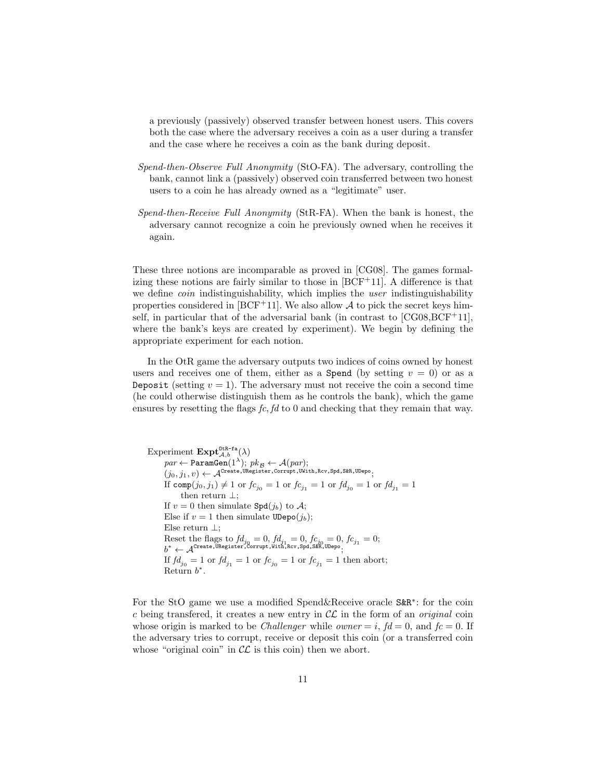a previously (passively) observed transfer between honest users. This covers both the case where the adversary receives a coin as a user during a transfer and the case where he receives a coin as the bank during deposit.

- Spend-then-Observe Full Anonymity (StO-FA). The adversary, controlling the bank, cannot link a (passively) observed coin transferred between two honest users to a coin he has already owned as a "legitimate" user.
- Spend-then-Receive Full Anonymity (StR-FA). When the bank is honest, the adversary cannot recognize a coin he previously owned when he receives it again.

These three notions are incomparable as proved in [CG08]. The games formalizing these notions are fairly similar to those in  $[BCF^+11]$ . A difference is that we define *coin* indistinguishability, which implies the *user* indistinguishability properties considered in [BCF+11]. We also allow  $A$  to pick the secret keys himself, in particular that of the adversarial bank (in contrast to  $[CG08, BCF+11]$ , where the bank's keys are created by experiment). We begin by defining the appropriate experiment for each notion.

In the OtR game the adversary outputs two indices of coins owned by honest users and receives one of them, either as a Spend (by setting  $v = 0$ ) or as a **Deposit** (setting  $v = 1$ ). The adversary must not receive the coin a second time (he could otherwise distinguish them as he controls the bank), which the game ensures by resetting the flags  $fc, fd$  to 0 and checking that they remain that way.

Experiment  $\mathbf{Expt}_{\mathcal{A},b}^{\mathtt{Other-fa}}(\lambda)$  $par \leftarrow \texttt{ParamGen}(1^{\lambda}); \, pk_\mathcal{B} \leftarrow \mathcal{A}(par);$  $(j_0, j_1, v) \leftarrow \mathcal{A}^{\mathtt{Create}, \mathtt{URegister}, \mathtt{Corrupt}, \mathtt{UWith}, \mathtt{Rev}, \mathtt{Spd}, \mathtt{S\&R}, \mathtt{UDepo}};$ If comp $(j_0, j_1) \neq 1$  or  $fc_{j_0} = 1$  or  $fc_{j_1} = 1$  or  $fd_{j_0} = 1$  or  $fd_{j_1} = 1$ then return  $\perp$ ; If  $v = 0$  then simulate  $Spd(j_b)$  to A; Else if  $v = 1$  then simulate UDepo( $i<sub>b</sub>$ ); Else return ⊥; Reset the flags to  $fd_{j_0} = 0$ ,  $fd_{j_1} = 0$ ,  $fc_{j_0} = 0$ ,  $fc_{j_1} = 0$ ;  $b^* \leftarrow \mathcal{A}^{\mathtt{Create}, \mathtt{URegister}, \mathtt{Corrupt}, \mathtt{With}, \mathtt{Rev}, \mathtt{Spd}, \mathtt{S} \mathtt{\'ek}, \mathtt{UDepo}};$ If  $fd_{j_0} = 1$  or  $fd_{j_1} = 1$  or  $fc_{j_0} = 1$  or  $fc_{j_1} = 1$  then abort; Return  $b^*$ .

For the StO game we use a modified Spend&Receive oracle S&R<sup>∗</sup> : for the coin c being transferred, it creates a new entry in  $\mathcal{CL}$  in the form of an *original* coin whose origin is marked to be *Challenger* while *owner* = *i*,  $fd = 0$ , and  $fc = 0$ . If the adversary tries to corrupt, receive or deposit this coin (or a transferred coin whose "original coin" in  $\mathcal{CL}$  is this coin) then we abort.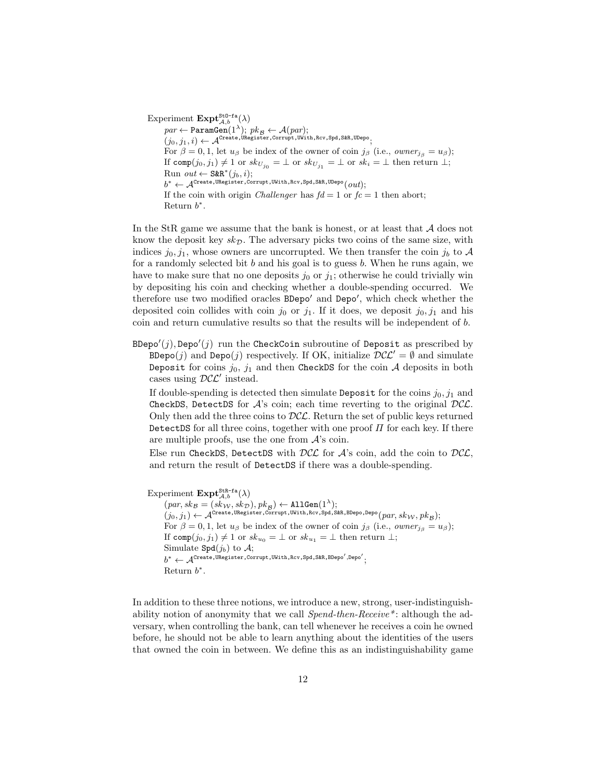Experiment  $\mathbf{Expt}_{\mathcal{A},b}^{\mathsf{St0-fa}}(\lambda)$ 

 $par \leftarrow \texttt{ParamGen}(1^{\lambda}); \; pk_\mathcal{B} \leftarrow \mathcal{A}(par);$  $(j_0, j_1, i) \leftarrow \mathcal{A}^{\mathtt{Create}, \mathtt{URegister}, \mathtt{Corrupt}, \mathtt{UWith}, \mathtt{Rev}, \mathtt{Spd}, \mathtt{S\&R}, \mathtt{UDepo}};$ For  $\beta = 0, 1$ , let  $u_{\beta}$  be index of the owner of coin j<sub>β</sub> (i.e., *owner*<sub>j<sub>β</sub> = u<sub>β</sub>);</sub> If  $\textsf{comp}(j_0,j_1) \neq 1$  or  $sk_{U_{j_0}} = \bot$  or  $sk_{U_{j_1}} = \bot$  or  $sk_i = \bot$  then return  $\bot$ ; Run *out* ← S&R<sup>\*</sup> $(j_b, i)$ ;  $b^* \leftarrow \mathcal{A}^{\texttt{Create}, \texttt{URegister}, \texttt{Corrupt}, \texttt{UWith}, \texttt{Rev}, \texttt{Spd}, \texttt{S\&R}, \texttt{UDepo}} (\textit{out});$ If the coin with origin *Challenger* has  $fd = 1$  or  $fc = 1$  then abort; Return  $b^*$ .

In the StR game we assume that the bank is honest, or at least that A does not know the deposit key  $sk_{\mathcal{D}}$ . The adversary picks two coins of the same size, with indices  $j_0, j_1$ , whose owners are uncorrupted. We then transfer the coin  $j_b$  to A for a randomly selected bit  $b$  and his goal is to guess  $b$ . When he runs again, we have to make sure that no one deposits  $j_0$  or  $j_1$ ; otherwise he could trivially win by depositing his coin and checking whether a double-spending occurred. We therefore use two modified oracles BDepo' and Depo', which check whether the deposited coin collides with coin  $j_0$  or  $j_1$ . If it does, we deposit  $j_0, j_1$  and his coin and return cumulative results so that the results will be independent of b.

 $\texttt{BDepo}'(j)$ ,  $\texttt{Depo}'(j)$  run the CheckCoin subroutine of Deposit as prescribed by BDepo(j) and Depo(j) respectively. If OK, initialize  $\mathcal{DCL}' = \emptyset$  and simulate Deposit for coins  $j_0$ ,  $j_1$  and then CheckDS for the coin A deposits in both cases using  $DCL'$  instead.

If double-spending is detected then simulate Deposit for the coins  $j_0, j_1$  and CheckDS, DetectDS for  $A$ 's coin; each time reverting to the original  $DCL$ . Only then add the three coins to  $DCL$ . Return the set of public keys returned DetectDS for all three coins, together with one proof  $\Pi$  for each key. If there are multiple proofs, use the one from  $A$ 's coin.

Else run CheckDS, DetectDS with  $DCL$  for A's coin, add the coin to  $DCL$ , and return the result of DetectDS if there was a double-spending.

Experiment  $\operatorname{Expt}^{\texttt{StR-fa}}_{\mathcal{A},b}(\lambda)$ 

 $(\textit{par}, \textit{sk}_{\mathcal{B}} = (\textit{sk}_{\mathcal{W}}, \textit{sk}_{\mathcal{D}}), \textit{pk}_{\mathcal{B}}) \leftarrow \texttt{AllGen}(1^{\lambda});$  $(j_0, j_1) \leftarrow \mathcal{A}^{\mathtt{Create}, \mathtt{URegister}, \mathtt{Corrupt}, \mathtt{UWith}, \mathtt{Rev}, \mathtt{Spd}, \mathtt{S\&R}, \mathtt{BDepo}, \mathtt{Depo}}(par, sk_\mathcal{W}, \mathit{pk}_\mathcal{B});$ For  $\beta = 0, 1$ , let  $u_{\beta}$  be index of the owner of coin j<sub>β</sub> (i.e., *owner*<sub>j<sub>β</sub> = u<sub>β</sub>);</sub> If comp $(j_0, j_1) \neq 1$  or  $sk_{u_0} = \perp$  or  $sk_{u_1} = \perp$  then return  $\perp$ ; Simulate  $Spd(j_b)$  to  $A$ ;  $b^* \leftarrow \mathcal{A}^{\texttt{Create}, \texttt{URegister}, \texttt{Corrupt}, \texttt{UWith}, \texttt{Rev}, \texttt{Spd}, \texttt{S\&R}, \texttt{BDepo}', \texttt{Depo}', \texttt{},$ Return  $b^*$ .

In addition to these three notions, we introduce a new, strong, user-indistinguishability notion of anonymity that we call Spend-then-Receive<sup>\*</sup>: although the adversary, when controlling the bank, can tell whenever he receives a coin he owned before, he should not be able to learn anything about the identities of the users that owned the coin in between. We define this as an indistinguishability game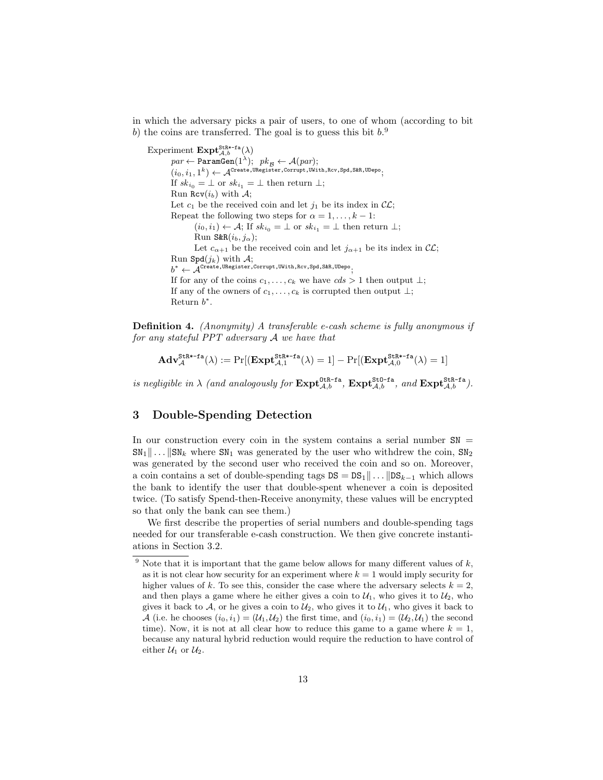in which the adversary picks a pair of users, to one of whom (according to bit b) the coins are transferred. The goal is to guess this bit  $b$ <sup>9</sup>

Experiment  $\mathrm{Expt}_{\mathcal{A},b}^{\mathrm{StR}*-\mathrm{fa}}(\lambda)$  $par \leftarrow \texttt{ParamGen}(1^{\lambda}); \ \ pk_{\mathcal{B}} \leftarrow \mathcal{A}(par);$  $(i_0, i_1, 1^k) \leftarrow \mathcal{A}^{\texttt{Create, URegister, Corrupt, UWith, Rev, Spd, S\&R, UDepo}};$ If  $sk_{i_0} = \perp$  or  $sk_{i_1} = \perp$  then return  $\perp$ ; Run Rcv $(i_b)$  with A; Let  $c_1$  be the received coin and let  $j_1$  be its index in  $\mathcal{CL}$ ; Repeat the following two steps for  $\alpha = 1, \ldots, k - 1$ :  $(i_0, i_1) \leftarrow A$ ; If  $sk_{i_0} = \perp$  or  $sk_{i_1} = \perp$  then return  $\perp$ ; Run S&R $(i_b, j_\alpha);$ Let  $c_{\alpha+1}$  be the received coin and let  $j_{\alpha+1}$  be its index in  $\mathcal{CL}$ ; Run Spd $(j_k)$  with A;  $b^* \leftarrow \mathcal{A}^{\texttt{Create}, \texttt{URegister}, \texttt{Corrupt}, \texttt{UWith}, \texttt{Rcv}, \texttt{Spd}, \texttt{S&R}, \texttt{UDepo}};$ If for any of the coins  $c_1, \ldots, c_k$  we have  $cds > 1$  then output  $\perp$ ; If any of the owners of  $c_1, \ldots, c_k$  is corrupted then output  $\perp$ ; Return  $b^*$ .

Definition 4. (Anonymity) A transferable e-cash scheme is fully anonymous if for any stateful PPT adversary A we have that

$$
\mathbf{Adv}_{\mathcal{A}}^{\mathsf{StR}*\text{-fa}}(\lambda):=\Pr[(\mathbf{Expt}_{\mathcal{A},1}^{\mathsf{StR}*\text{-fa}}(\lambda)=1]-\Pr[(\mathbf{Expt}_{\mathcal{A},0}^{\mathsf{StR}*\text{-fa}}(\lambda)=1]
$$

is negligible in  $\lambda$  (and analogously for  $\text{Expt}_{\mathcal{A},b}^{\text{Oth-Ra}}$ ,  $\text{Expt}_{\mathcal{A},b}^{\text{St0-fa}}$ , and  $\text{Expt}_{\mathcal{A},b}^{\text{StR-fa}}$ ).

## 3 Double-Spending Detection

In our construction every coin in the system contains a serial number  $SN =$  $\|S\|_k \dots \|S\|_k$  where  $\|S\|_1$  was generated by the user who withdrew the coin,  $\|S\|_2$ was generated by the second user who received the coin and so on. Moreover, a coin contains a set of double-spending tags  $DS = DS_1 || \dots ||DS_{k-1}$  which allows the bank to identify the user that double-spent whenever a coin is deposited twice. (To satisfy Spend-then-Receive anonymity, these values will be encrypted so that only the bank can see them.)

We first describe the properties of serial numbers and double-spending tags needed for our transferable e-cash construction. We then give concrete instantiations in Section 3.2.

 $9$  Note that it is important that the game below allows for many different values of  $k$ , as it is not clear how security for an experiment where  $k = 1$  would imply security for higher values of k. To see this, consider the case where the adversary selects  $k = 2$ , and then plays a game where he either gives a coin to  $\mathcal{U}_1$ , who gives it to  $\mathcal{U}_2$ , who gives it back to A, or he gives a coin to  $\mathcal{U}_2$ , who gives it to  $\mathcal{U}_1$ , who gives it back to A (i.e. he chooses  $(i_0, i_1) = (\mathcal{U}_1, \mathcal{U}_2)$  the first time, and  $(i_0, i_1) = (\mathcal{U}_2, \mathcal{U}_1)$  the second time). Now, it is not at all clear how to reduce this game to a game where  $k = 1$ , because any natural hybrid reduction would require the reduction to have control of either  $\mathcal{U}_1$  or  $\mathcal{U}_2$ .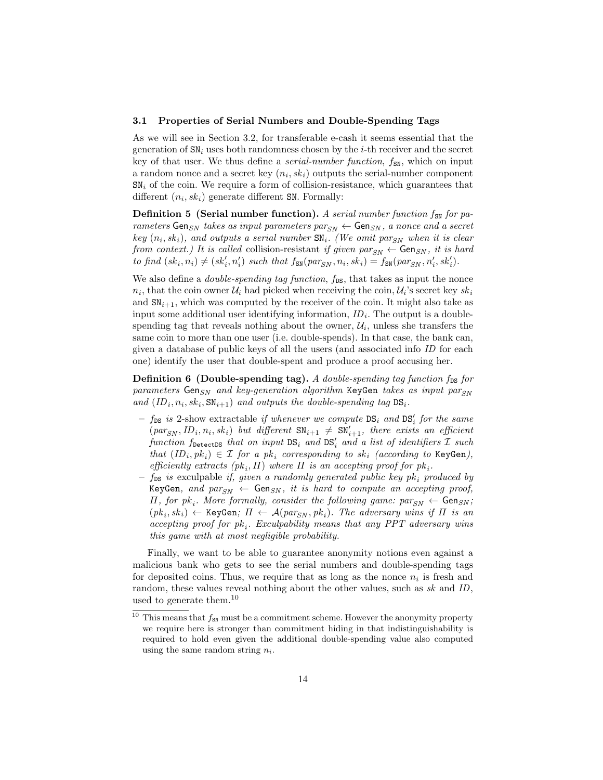#### 3.1 Properties of Serial Numbers and Double-Spending Tags

As we will see in Section 3.2, for transferable e-cash it seems essential that the generation of  $SN_i$  uses both randomness chosen by the *i*-th receiver and the secret key of that user. We thus define a *serial-number function*,  $f_{\text{SN}}$ , which on input a random nonce and a secret key  $(n_i, sk_i)$  outputs the serial-number component  $SN_i$  of the coin. We require a form of collision-resistance, which guarantees that different  $(n_i, sk_i)$  generate different SN. Formally:

**Definition 5 (Serial number function).** A serial number function  $f_{\text{SN}}$  for parameters Gen<sub>SN</sub> takes as input parameters par<sub>SN</sub>  $\leftarrow$  Gen<sub>SN</sub>, a nonce and a secret  $key (n_i, sk_i)$ , and outputs a serial number  $\texttt{SN}_i$ . (We omit par<sub>SN</sub> when it is clear from context.) It is called collision-resistant if given par<sub>SN</sub>  $\leftarrow$  Gen<sub>SN</sub>, it is hard to find  $(sk_i, n_i) \neq (sk'_i, n'_i)$  such that  $f_{\text{SN}}(par_{SN}, n_i, sk_i) = f_{\text{SN}}(par_{SN}, n'_i, sk'_i)$ .

We also define a *double-spending tag function*,  $f_{\text{DS}}$ , that takes as input the nonce  $n_i$ , that the coin owner  $\mathcal{U}_i$  had picked when receiving the coin,  $\mathcal{U}_i$ 's secret key  $sk_i$ and  $SN_{i+1}$ , which was computed by the receiver of the coin. It might also take as input some additional user identifying information,  $ID_i$ . The output is a doublespending tag that reveals nothing about the owner,  $\mathcal{U}_i$ , unless she transfers the same coin to more than one user (i.e. double-spends). In that case, the bank can, given a database of public keys of all the users (and associated info ID for each one) identify the user that double-spent and produce a proof accusing her.

**Definition 6 (Double-spending tag).** A double-spending tag function  $f_{DS}$  for parameters  $Gen_{SN}$  and key-generation algorithm KeyGen takes as input par<sub>SN</sub> and  $(ID_i, n_i, sk_i, SN_{i+1})$  and outputs the double-spending tag  $DS_i$ .

- $f_{DS}$  is 2-show extractable if whenever we compute  $DS_i$  and  $DS'_i$  for the same  $(par_{SN}, ID_i, n_i, sk_i)$  but different  $SN_{i+1} \neq SN'_{i+1}$ , there exists an efficient function fiberation that on input  $DS_i$  and  $DS_i'$  and a list of identifiers  $\mathcal I$  such that  $(ID_i, pk_i) \in \mathcal{I}$  for a pk<sub>i</sub> corresponding to sk<sub>i</sub> (according to KeyGen), efficiently extracts  $(pk_i, \Pi)$  where  $\Pi$  is an accepting proof for  $pk_i$ .
- $f_{DS}$  is exculpable if, given a randomly generated public key pk<sub>i</sub> produced by KeyGen, and  $par_{SN} \leftarrow Gen_{SN}$ , it is hard to compute an accepting proof,  $\Pi$ , for  $pk_i$ . More formally, consider the following game:  $par_{SN} \leftarrow Gen_{SN}$ ;  $(pk_i, sk_i) \leftarrow \texttt{KeyGen}; \Pi \leftarrow \mathcal{A}(par_{SN}, pk_i).$  The adversary wins if  $\Pi$  is an accepting proof for  $pk_i$ . Exculpability means that any PPT adversary wins this game with at most negligible probability.

Finally, we want to be able to guarantee anonymity notions even against a malicious bank who gets to see the serial numbers and double-spending tags for deposited coins. Thus, we require that as long as the nonce  $n_i$  is fresh and random, these values reveal nothing about the other values, such as sk and ID, used to generate them.<sup>10</sup>

 $^{10}$  This means that  $f_\mathtt{SN}$  must be a commitment scheme. However the anonymity property we require here is stronger than commitment hiding in that indistinguishability is required to hold even given the additional double-spending value also computed using the same random string  $n_i$ .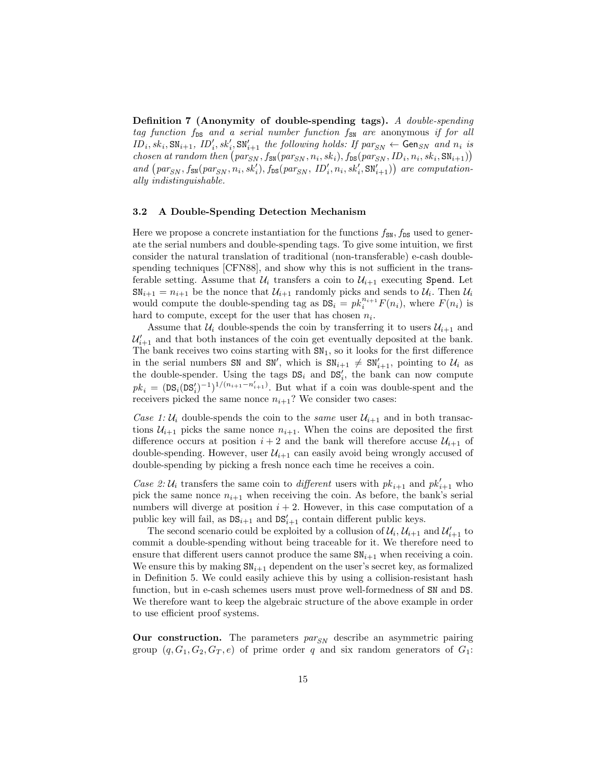Definition 7 (Anonymity of double-spending tags). A double-spending tag function  $f_{DS}$  and a serial number function  $f_{SN}$  are anonymous if for all  $ID_i, sk_i, SN_{i+1}, ID'_i, sk'_i, SN'_{i+1}$  the following holds: If  $par_{SN} \leftarrow$  Gen<sub>SN</sub> and  $n_i$  is chosen at random then  $\left( par_{SN}, f_{SN}(par_{SN}, n_i, sk_i), f_{DS}(par_{SN}, ID_i, n_i, sk_i, SN_{i+1}) \right)$ and  $\left( par_{SN}, f_{SN}(par_{SN}, n_i, sk'_i), f_{DS}(par_{SN}, ID'_i, n_i, sk'_i, SN'_{i+1}) \right)$  are computationally indistinguishable.

## 3.2 A Double-Spending Detection Mechanism

Here we propose a concrete instantiation for the functions  $f_{\text{SN}}$ ,  $f_{\text{DS}}$  used to generate the serial numbers and double-spending tags. To give some intuition, we first consider the natural translation of traditional (non-transferable) e-cash doublespending techniques [CFN88], and show why this is not sufficient in the transferable setting. Assume that  $\mathcal{U}_i$  transfers a coin to  $\mathcal{U}_{i+1}$  executing Spend. Let  $\text{SN}_{i+1} = n_{i+1}$  be the nonce that  $\mathcal{U}_{i+1}$  randomly picks and sends to  $\mathcal{U}_i$ . Then  $\mathcal{U}_i$ would compute the double-spending tag as  $DS_i = pk_i^{n_{i+1}} F(n_i)$ , where  $F(n_i)$  is hard to compute, except for the user that has chosen  $n_i$ .

Assume that  $\mathcal{U}_i$  double-spends the coin by transferring it to users  $\mathcal{U}_{i+1}$  and  $\mathcal{U}'_{i+1}$  and that both instances of the coin get eventually deposited at the bank. The bank receives two coins starting with  $SN<sub>1</sub>$ , so it looks for the first difference in the serial numbers SN and SN', which is  $SN_{i+1} \neq SN'_{i+1}$ , pointing to  $U_i$  as the double-spender. Using the tags  $DS_i$  and  $DS'_i$ , the bank can now compute  $pk_i = (DS_i (DS'_i)^{-1})^{1/(n_{i+1}-n'_{i+1})}$ . But what if a coin was double-spent and the receivers picked the same nonce  $n_{i+1}$ ? We consider two cases:

Case 1:  $U_i$  double-spends the coin to the same user  $U_{i+1}$  and in both transactions  $\mathcal{U}_{i+1}$  picks the same nonce  $n_{i+1}$ . When the coins are deposited the first difference occurs at position  $i+2$  and the bank will therefore accuse  $\mathcal{U}_{i+1}$  of double-spending. However, user  $\mathcal{U}_{i+1}$  can easily avoid being wrongly accused of double-spending by picking a fresh nonce each time he receives a coin.

Case 2:  $U_i$  transfers the same coin to different users with  $pk_{i+1}$  and  $pk'_{i+1}$  who pick the same nonce  $n_{i+1}$  when receiving the coin. As before, the bank's serial numbers will diverge at position  $i + 2$ . However, in this case computation of a public key will fail, as  $DS_{i+1}$  and  $DS'_{i+1}$  contain different public keys.

The second scenario could be exploited by a collusion of  $\mathcal{U}_i$ ,  $\mathcal{U}_{i+1}$  and  $\mathcal{U}'_{i+1}$  to commit a double-spending without being traceable for it. We therefore need to ensure that different users cannot produce the same  $SN_{i+1}$  when receiving a coin. We ensure this by making  $SN_{i+1}$  dependent on the user's secret key, as formalized in Definition 5. We could easily achieve this by using a collision-resistant hash function, but in e-cash schemes users must prove well-formedness of SN and DS. We therefore want to keep the algebraic structure of the above example in order to use efficient proof systems.

Our construction. The parameters  $par_{SN}$  describe an asymmetric pairing group  $(q, G_1, G_2, G_T, e)$  of prime order q and six random generators of  $G_1$ :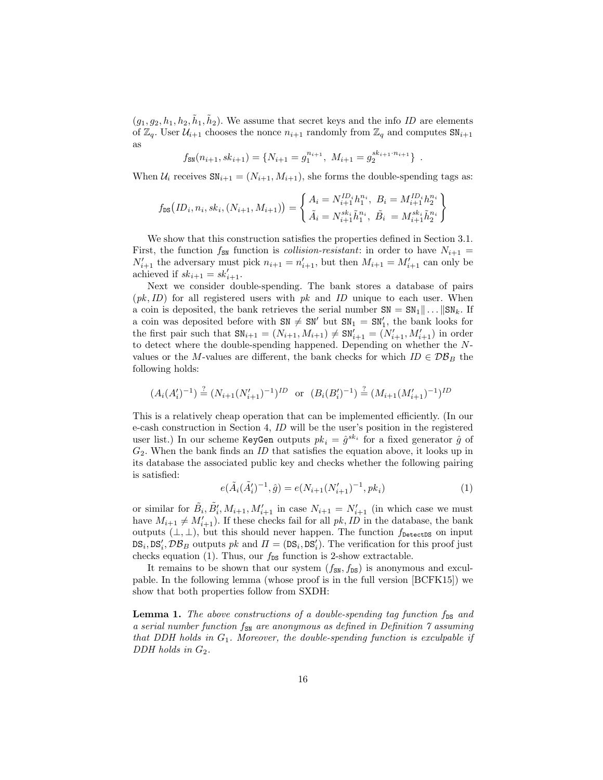$(g_1, g_2, h_1, h_2, \tilde{h}_1, \tilde{h}_2)$ . We assume that secret keys and the info ID are elements of  $\mathbb{Z}_q$ . User  $\mathcal{U}_{i+1}$  chooses the nonce  $n_{i+1}$  randomly from  $\mathbb{Z}_q$  and computes  $\text{SN}_{i+1}$ as

$$
f_{\rm SN}(n_{i+1}, sk_{i+1}) = \{ N_{i+1} = g_1^{n_{i+1}}, \ M_{i+1} = g_2^{sk_{i+1} \cdot n_{i+1}} \} .
$$

When  $\mathcal{U}_i$  receives  $\mathtt{SN}_{i+1} = (N_{i+1}, M_{i+1})$ , she forms the double-spending tags as:

$$
f_{\text{DS}}\big(ID_i, n_i, sk_i, (N_{i+1}, M_{i+1}) \big) = \begin{cases} A_i = N_{i+1}^{ID_i} h_1^{n_i}, B_i = M_{i+1}^{ID_i} h_2^{n_i} \\ \tilde{A}_i = N_{i+1}^{sk_i} \tilde{h}_1^{n_i}, \ \tilde{B}_i = M_{i+1}^{sk_i} \tilde{h}_2^{n_i} \end{cases}
$$

We show that this construction satisfies the properties defined in Section 3.1. First, the function  $f_{\text{SN}}$  function is *collision-resistant*: in order to have  $N_{i+1}$  =  $N'_{i+1}$  the adversary must pick  $n_{i+1} = n'_{i+1}$ , but then  $M_{i+1} = M'_{i+1}$  can only be achieved if  $sk_{i+1} = sk'_{i+1}$ .

Next we consider double-spending. The bank stores a database of pairs  $(pk, ID)$  for all registered users with pk and ID unique to each user. When a coin is deposited, the bank retrieves the serial number  $SN = SN_1 || \dots || SN_k$ . If a coin was deposited before with  $SN \neq SN'$  but  $SN_1 = SN'_1$ , the bank looks for the first pair such that  $SN_{i+1} = (N_{i+1}, M_{i+1}) \neq SN'_{i+1} = (N'_{i+1}, M'_{i+1})$  in order to detect where the double-spending happened. Depending on whether the Nvalues or the M-values are different, the bank checks for which  $ID \in DB_B$  the following holds:

$$
(A_i(A'_i)^{-1}) \stackrel{?}{=} (N_{i+1}(N'_{i+1})^{-1})^{ID}
$$
 or  $(B_i(B'_i)^{-1}) \stackrel{?}{=} (M_{i+1}(M'_{i+1})^{-1})^{ID}$ 

This is a relatively cheap operation that can be implemented efficiently. (In our e-cash construction in Section 4, ID will be the user's position in the registered user list.) In our scheme KeyGen outputs  $pk_i = \hat{g}^{sk_i}$  for a fixed generator  $\hat{g}$  of  $G_2$ . When the bank finds an ID that satisfies the equation above, it looks up in its database the associated public key and checks whether the following pairing is satisfied:

$$
e(\tilde{A}_i(\tilde{A}'_i)^{-1}, \hat{g}) = e(N_{i+1}(N'_{i+1})^{-1}, pk_i)
$$
\n(1)

or similar for  $\tilde{B}_i$ ,  $\tilde{B}'_i$ ,  $M_{i+1}$ ,  $M'_{i+1}$  in case  $N_{i+1} = N'_{i+1}$  (in which case we must have  $M_{i+1} \neq M'_{i+1}$ ). If these checks fail for all  $pk$ , ID in the database, the bank outputs  $(\perp, \perp)$ , but this should never happen. The function  $f_{\text{DetectDS}}$  on input  $DS_i, DS'_i, DB_B$  outputs pk and  $\Pi = (DS_i, DS'_i)$ . The verification for this proof just checks equation (1). Thus, our  $f_{DS}$  function is 2-show extractable.

It remains to be shown that our system  $(f_{\text{SN}}, f_{\text{DS}})$  is anonymous and exculpable. In the following lemma (whose proof is in the full version [BCFK15]) we show that both properties follow from SXDH:

**Lemma 1.** The above constructions of a double-spending tag function  $f_{DS}$  and a serial number function  $f_{SN}$  are anonymous as defined in Definition  $\gamma$  assuming that DDH holds in  $G_1$ . Moreover, the double-spending function is exculpable if DDH holds in  $G_2$ .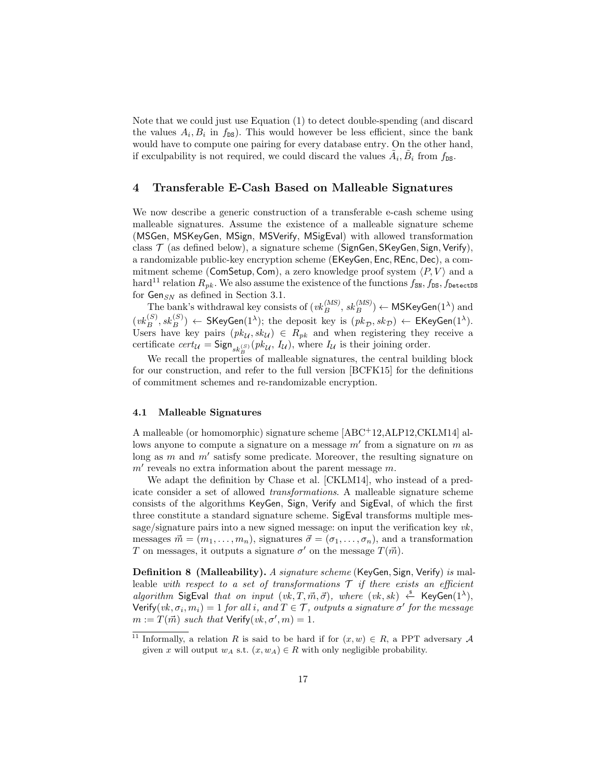Note that we could just use Equation (1) to detect double-spending (and discard the values  $A_i, B_i$  in  $f_{DS}$ ). This would however be less efficient, since the bank would have to compute one pairing for every database entry. On the other hand, if exculpability is not required, we could discard the values  $\tilde{A}_i$ ,  $\tilde{B}_i$  from  $f_{\text{DS}}$ .

## 4 Transferable E-Cash Based on Malleable Signatures

We now describe a generic construction of a transferable e-cash scheme using malleable signatures. Assume the existence of a malleable signature scheme (MSGen, MSKeyGen, MSign, MSVerify, MSigEval) with allowed transformation class  $\mathcal T$  (as defined below), a signature scheme (SignGen, SKeyGen, Sign, Verify), a randomizable public-key encryption scheme (EKeyGen, Enc, REnc, Dec), a commitment scheme (ComSetup, Com), a zero knowledge proof system  $\langle P, V \rangle$  and a hard<sup>11</sup> relation  $R_{pk}$ . We also assume the existence of the functions  $f_{\text{SN}}, f_{\text{DS}}, f_{\text{DetectDS}}$ for  $\mathsf{Gen}_{SN}$  as defined in Section 3.1.

The bank's withdrawal key consists of  $(vk_B^{(MS)}, sk_B^{(MS)}) \leftarrow \mathsf{MSKeyGen}(1^\lambda)$  and  $(vk_B^{(S)}, sk_B^{(S)}) \leftarrow \mathsf{SKeyGen}(1^{\lambda});$  the deposit key is  $(pk_{\mathcal{D}}, sk_{\mathcal{D}}) \leftarrow \mathsf{EKeyGen}(1^{\lambda}).$ Users have key pairs  $(pk_{\mathcal{U}}, sk_{\mathcal{U}}) \in R_{pk}$  and when registering they receive a certificate  $cert_{\mathcal{U}} = \mathsf{Sign}_{sk_B(S)}(pk_{\mathcal{U}}, I_{\mathcal{U}})$ , where  $I_{\mathcal{U}}$  is their joining order.

We recall the properties of malleable signatures, the central building block for our construction, and refer to the full version [BCFK15] for the definitions of commitment schemes and re-randomizable encryption.

## 4.1 Malleable Signatures

A malleable (or homomorphic) signature scheme [ABC+12,ALP12,CKLM14] allows anyone to compute a signature on a message  $m'$  from a signature on m as long as  $m$  and  $m'$  satisfy some predicate. Moreover, the resulting signature on  $m'$  reveals no extra information about the parent message  $m$ .

We adapt the definition by Chase et al. [CKLM14], who instead of a predicate consider a set of allowed transformations. A malleable signature scheme consists of the algorithms KeyGen, Sign, Verify and SigEval, of which the first three constitute a standard signature scheme. SigEval transforms multiple message/signature pairs into a new signed message: on input the verification key  $vk$ . messages  $\vec{m} = (m_1, \ldots, m_n)$ , signatures  $\vec{\sigma} = (\sigma_1, \ldots, \sigma_n)$ , and a transformation T on messages, it outputs a signature  $\sigma'$  on the message  $T(\vec{m})$ .

Definition 8 (Malleability). A signature scheme (KeyGen, Sign, Verify) is malleable with respect to a set of transformations  $\mathcal T$  if there exists an efficient algorithm SigEval that on input  $(wk, T, \vec{m}, \vec{\sigma})$ , where  $(wk, sk) \stackrel{\text{?}}{\leftarrow}$  KeyGen(1<sup> $\lambda$ </sup>), Verify $(vk, \sigma_i, m_i) = 1$  for all i, and  $T \in \mathcal{T}$ , outputs a signature  $\sigma'$  for the message  $m := T(\vec{m})$  such that Verify $(vk, \sigma', m) = 1$ .

<sup>&</sup>lt;sup>11</sup> Informally, a relation R is said to be hard if for  $(x, w) \in R$ , a PPT adversary A given x will output  $w_A$  s.t.  $(x, w_A) \in R$  with only negligible probability.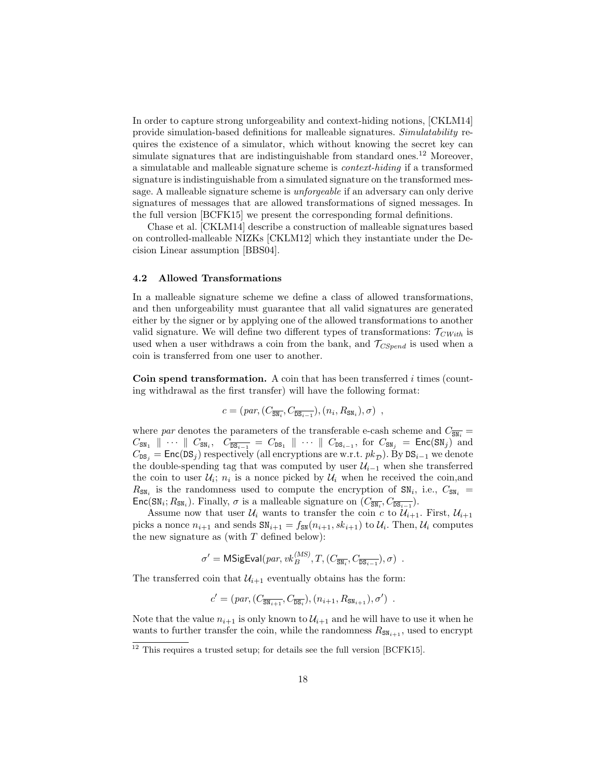In order to capture strong unforgeability and context-hiding notions, [CKLM14] provide simulation-based definitions for malleable signatures. Simulatability requires the existence of a simulator, which without knowing the secret key can simulate signatures that are indistinguishable from standard ones.<sup>12</sup> Moreover, a simulatable and malleable signature scheme is context-hiding if a transformed signature is indistinguishable from a simulated signature on the transformed message. A malleable signature scheme is unforgeable if an adversary can only derive signatures of messages that are allowed transformations of signed messages. In the full version [BCFK15] we present the corresponding formal definitions.

Chase et al. [CKLM14] describe a construction of malleable signatures based on controlled-malleable NIZKs [CKLM12] which they instantiate under the Decision Linear assumption [BBS04].

## 4.2 Allowed Transformations

In a malleable signature scheme we define a class of allowed transformations, and then unforgeability must guarantee that all valid signatures are generated either by the signer or by applying one of the allowed transformations to another valid signature. We will define two different types of transformations:  $\mathcal{T}_{CWith}$  is used when a user withdraws a coin from the bank, and  $\mathcal{T}_{CSpend}$  is used when a coin is transferred from one user to another.

Coin spend transformation. A coin that has been transferred  $i$  times (counting withdrawal as the first transfer) will have the following format:

$$
c = (par, (C_{\overline{\text{SN}_i}}, C_{\overline{\text{DS}_{i-1}}}), (n_i, R_{\text{SN}_i}), \sigma) ,
$$

where par denotes the parameters of the transferable e-cash scheme and  $C_{\overline{SN_i}} =$  $C_{\text{SN}_1} \parallel \cdots \parallel C_{\text{SN}_i}, C_{\overline{\text{DS}_{i-1}}} = C_{\text{DS}_1} \parallel \cdots \parallel C_{\text{DS}_{i-1}}, \text{ for } C_{\text{SN}_j} = \text{Enc}(\text{SN}_j) \text{ and }$  $C_{\text{DS}_j} = \text{Enc}(\text{DS}_j)$  respectively (all encryptions are w.r.t.  $pk_{\mathcal{D}}$ ). By  $\text{DS}_{i-1}$  we denote the double-spending tag that was computed by user  $\mathcal{U}_{i-1}$  when she transferred the coin to user  $\mathcal{U}_i$ ;  $n_i$  is a nonce picked by  $\mathcal{U}_i$  when he received the coin, and  $R_{\text{SN}_i}$  is the randomness used to compute the encryption of  $\text{SN}_i$ , i.e.,  $C_{\text{SN}_i}$  =  $Enc(SN_i; R_{SN_i})$ . Finally,  $\sigma$  is a malleable signature on  $(C_{\overline{SN_i}}, C_{\overline{DS_{i-1}}})$ .

Assume now that user  $\mathcal{U}_i$  wants to transfer the coin c to  $\mathcal{U}_{i+1}$ . First,  $\mathcal{U}_{i+1}$ picks a nonce  $n_{i+1}$  and sends  $\text{SN}_{i+1} = f_{\text{SN}}(n_{i+1}, sk_{i+1})$  to  $\mathcal{U}_i$ . Then,  $\mathcal{U}_i$  computes the new signature as (with  $T$  defined below):

$$
\sigma' = \text{MSigEval}(par, vk_B^{(MS)}, T, (C_{\overline{\text{SN}_i}}, C_{\overline{\text{DS}_{i-1}}}), \sigma) .
$$

The transferred coin that  $\mathcal{U}_{i+1}$  eventually obtains has the form:

$$
c' = (\mathit{par}, (C_{\overline{\mathtt{SN}_{i+1}}}, C_{\overline{\mathtt{DS}_i}}), (n_{i+1}, R_{\mathtt{SN}_{i+1}}), \sigma')\enspace .
$$

Note that the value  $n_{i+1}$  is only known to  $\mathcal{U}_{i+1}$  and he will have to use it when he wants to further transfer the coin, while the randomness  $R_{\text{SN}_{i+1}}$ , used to encrypt

 $12$  This requires a trusted setup; for details see the full version [BCFK15].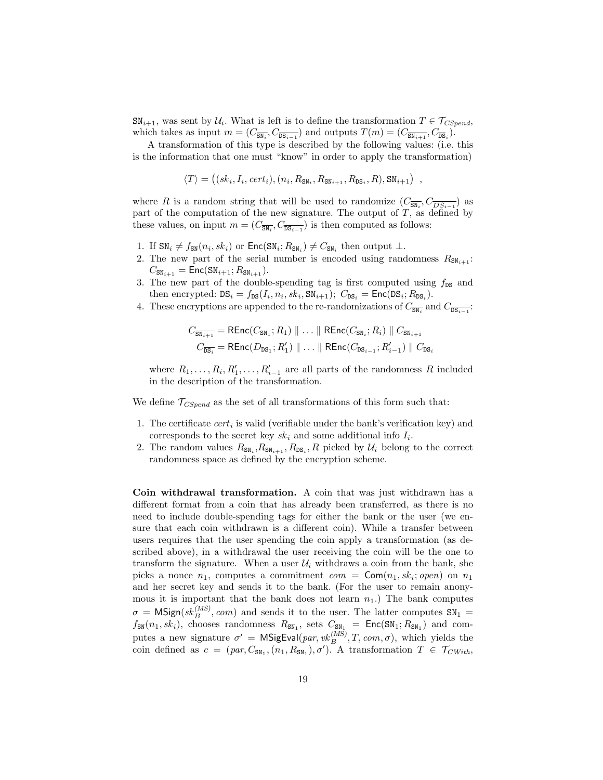$\text{SN}_{i+1}$ , was sent by  $\mathcal{U}_i$ . What is left is to define the transformation  $T \in \mathcal{T}_{CSpend}$ , which takes as input  $m = (C_{\overline{SN_i}}, C_{\overline{DS_{i-1}}})$  and outputs  $T(m) = (C_{\overline{SN_{i+1}}}, C_{\overline{DS_i}})$ .

A transformation of this type is described by the following values: (i.e. this is the information that one must "know" in order to apply the transformation)

$$
\langle T \rangle = \big( (sk_i, I_i, cert_i), (n_i, R_{\text{SN}_i}, R_{\text{SN}_{i+1}}, R_{\text{DS}_i}, R), \text{SN}_{i+1} \big) ,
$$

where R is a random string that will be used to randomize  $(C_{\overline{\text{SN}_i}}, C_{\overline{DS_{i-1}}})$  as part of the computation of the new signature. The output of  $T$ , as defined by these values, on input  $m = (C_{\overline{\text{SN}_i}}, C_{\overline{\text{DS}_{i-1}}} )$  is then computed as follows:

- 1. If  $SN_i \neq f_{SN}(n_i, sk_i)$  or  $Enc(SN_i; R_{SN_i}) \neq C_{SN_i}$  then output  $\perp$ .
- 2. The new part of the serial number is encoded using randomness  $R_{\text{SN}_{i+1}}$ :  $C_{\text{SN}_{i+1}} = \text{Enc}(\text{SN}_{i+1}; R_{\text{SN}_{i+1}}).$
- 3. The new part of the double-spending tag is first computed using  $f_{DS}$  and then encrypted:  $DS_i = f_{DS}(I_i, n_i, sk_i, SN_{i+1}); C_{DS_i} = Enc(DS_i; R_{DS_i}).$
- 4. These encryptions are appended to the re-randomizations of  $C_{\overline{\text{SN}_i}}$  and  $C_{\overline{\text{DS}_{i-1}}}$ :

$$
C_{\overline{\text{SN}_{i+1}}} = \text{REnc}(C_{\text{SN}_1}; R_1) \parallel \dots \parallel \text{REnc}(C_{\text{SN}_i}; R_i) \parallel C_{\text{SN}_{i+1}}
$$

$$
C_{\overline{\text{DS}_i}} = \text{REnc}(D_{\text{DS}_1}; R'_1) \parallel \dots \parallel \text{REnc}(C_{\text{DS}_{i-1}}; R'_{i-1}) \parallel C_{\text{DS}_i}
$$

where  $R_1, \ldots, R_i, R'_1, \ldots, R'_{i-1}$  are all parts of the randomness R included in the description of the transformation.

We define  $\mathcal{T}_{CSpend}$  as the set of all transformations of this form such that:

- 1. The certificate  $cert_i$  is valid (verifiable under the bank's verification key) and corresponds to the secret key  $sk_i$  and some additional info  $I_i$ .
- 2. The random values  $R_{\text{SN}_i}, R_{\text{SN}_{i+1}}, R_{\text{DS}_i}, R$  picked by  $\mathcal{U}_i$  belong to the correct randomness space as defined by the encryption scheme.

Coin withdrawal transformation. A coin that was just withdrawn has a different format from a coin that has already been transferred, as there is no need to include double-spending tags for either the bank or the user (we ensure that each coin withdrawn is a different coin). While a transfer between users requires that the user spending the coin apply a transformation (as described above), in a withdrawal the user receiving the coin will be the one to transform the signature. When a user  $\mathcal{U}_i$  withdraws a coin from the bank, she picks a nonce  $n_1$ , computes a commitment  $com = \textsf{Com}(n_1, sk_i; open)$  on  $n_1$ and her secret key and sends it to the bank. (For the user to remain anonymous it is important that the bank does not learn  $n_1$ .) The bank computes  $\sigma = \mathsf{MSign}(sk_B^{(MS)}, com)$  and sends it to the user. The latter computes  $\mathsf{SN}_{1} =$  $f_{\text{SN}}(n_1, sk_i)$ , chooses randomness  $R_{\text{SN}_1}$ , sets  $C_{\text{SN}_1} = \text{Enc}(\text{SN}_1; R_{\text{SN}_1})$  and computes a new signature  $\sigma' = \mathsf{MSigEval}(par, \mathit{vk}_B^{(MS)}, T, com, \sigma)$ , which yields the coin defined as  $c = (par, C_{\text{SM}_1}, (n_1, R_{\text{SM}_1}), \sigma')$ . A transformation  $T \in \mathcal{T}_{CWith}$ ,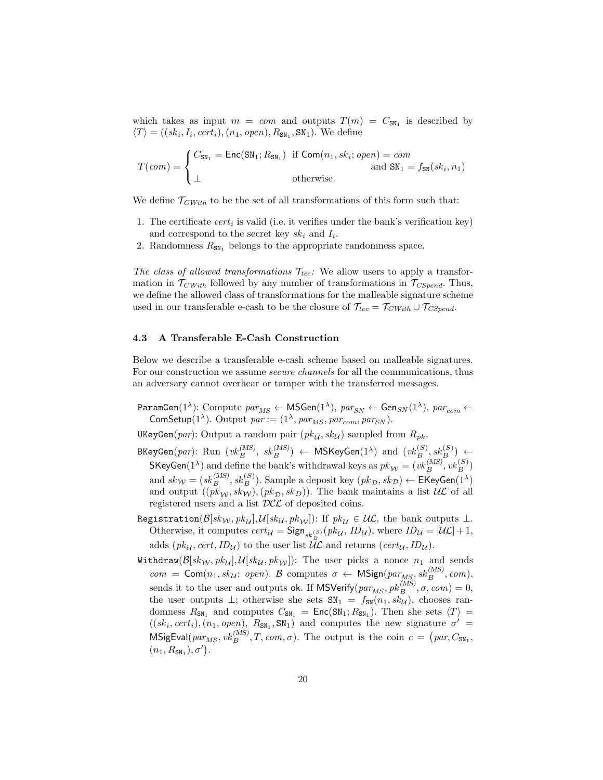which takes as input  $m = com$  and outputs  $T(m) = C_{\text{SN}_1}$  is described by  $\langle T \rangle = ((sk_i, I_i, cert_i), (n_1, open), R_{\text{SN}_1}, \text{SN}_1).$  We define

$$
T(com) = \begin{cases} C_{\text{SN}_1} = \text{Enc}(\text{SN}_1; R_{\text{SN}_1}) & \text{if } \text{Com}(n_1, sk_i; open) = com \\ \perp & \text{and } \text{SN}_1 = f_{\text{SN}}(sk_i, n_1) \end{cases}
$$

We define  $\mathcal{T}_{CWith}$  to be the set of all transformations of this form such that:

- 1. The certificate  $cert_i$  is valid (i.e. it verifies under the bank's verification key) and correspond to the secret key  $sk_i$  and  $I_i$ .
- 2. Randomness  $R_{\text{SN}_1}$  belongs to the appropriate randomness space.

The class of allowed transformations  $\mathcal{T}_{tec}$ : We allow users to apply a transformation in  $\mathcal{T}_{CWith}$  followed by any number of transformations in  $\mathcal{T}_{CSpend}$ . Thus, we define the allowed class of transformations for the malleable signature scheme used in our transferable e-cash to be the closure of  $\mathcal{T}_{tec} = \mathcal{T}_{CWith} \cup \mathcal{T}_{CSpend}$ .

## 4.3 A Transferable E-Cash Construction

Below we describe a transferable e-cash scheme based on malleable signatures. For our construction we assume secure channels for all the communications, thus an adversary cannot overhear or tamper with the transferred messages.

 $\texttt{ParamGen}(1^{\lambda})$ : Compute  $\textit{par}_{MS} \leftarrow \textsf{MSGen}(1^{\lambda}), \ \textit{par}_{SN} \leftarrow \textsf{Gen}_{SN}(1^{\lambda}), \ \textit{par}_{com} \leftarrow$ ComSetup(1<sup> $\lambda$ </sup>). Output  $\mathit{par} := (1^{\lambda}, \mathit{par}_{\mathit{MS}}, \mathit{par}_{\mathit{com}}, \mathit{par}_{\mathit{SN}})$ .

UKeyGen(par): Output a random pair  $(pk_{\mathcal{U}}, sk_{\mathcal{U}})$  sampled from  $R_{pk}$ .

- $\texttt{BKeyGen} (par) \text{: } \text{Run } (\textit{vk}_B^{(MS)}, \textit{ sk}_B^{(MS)}) \ \leftarrow \ \textsf{MSKeyGen}(1^\lambda) \text{ and } (\textit{vk}_B^{(S)}, \textit{sk}_B^{(S)}) \ \leftarrow$  $\mathsf{SKeyGen}(1^{\lambda})$  and define the bank's withdrawal keys as  $pk_\mathcal{W} = (\mathit{vk}^{(MS)}_B, \mathit{vk}^{(S)}_B)$ and  $sk_W = (sk_B^{(MS)}, sk_B^{(S)})$ . Sample a deposit key  $(pk_{\mathcal{D}}, sk_{\mathcal{D}}) \leftarrow \mathsf{EKeyGen}(1^{\lambda})$ and output  $((pk_{\mathcal{W}}, sk_{\mathcal{W}}), (pk_{\mathcal{D}}, sk_{D}))$ . The bank maintains a list  $\mathcal{UL}$  of all registered users and a list DCL of deposited coins.
- Registration( $\mathcal{B}[sk_W, pk_U], \mathcal{U}[sk_U, pk_W]$ ): If  $pk_U \in \mathcal{UL}$ , the bank outputs ⊥. Otherwise, it computes  $cert_{\mathcal{U}} = \mathsf{Sign}_{sk_{\mathcal{B}}^{(S)}}(pk_{\mathcal{U}}, ID_{\mathcal{U}})$ , where  $ID_{\mathcal{U}} = |\mathcal{U}\mathcal{L}| + 1$ , adds  $(pk_{\mathcal{U}}, cert, ID_{\mathcal{U}})$  to the user list  $\mathcal{UL}$  and returns  $(cert_{\mathcal{U}}, ID_{\mathcal{U}})$ .
- Withdraw( $\mathcal{B}[sk_W, pk_U], \mathcal{U}[sk_U, pk_W]$ ): The user picks a nonce  $n_1$  and sends  $com = \textsf{Com}(n_1, sk_\mathcal{U}; \ open).$  B computes  $\sigma \leftarrow \textsf{MSign}(par_{MS}, sk_B^{(MS)}, com),$ sends it to the user and outputs **ok**. If  $\mathsf{MSVerify}(par_{MS}, pk_B^{(MS)}, \sigma, com) = 0,$ the user outputs  $\perp$ ; otherwise she sets  $SN_1 = f_{SN}(n_1, sk_{\mathcal{U}})$ , chooses randomness  $R_{\text{SM}_1}$  and computes  $C_{\text{SM}_1} = \text{Enc}(\text{SM}_1; R_{\text{SM}_1})$ . Then she sets  $\langle T \rangle =$  $((sk<sub>i</sub>, cert<sub>i</sub>), (n<sub>1</sub>, open), R<sub>SN<sub>1</sub></sub>, SN<sub>1</sub>)$  and computes the new signature  $\sigma' =$  $\textsf{MSigEval}(par_{MS},\textit{vk}_B^{(MS)}, T, \textit{com}, \sigma).$  The output is the coin  $c = \texttt{(par}, C_{\texttt{SN}_1},$  $(n_1, R_{\text{SN}_1}), \sigma'$ .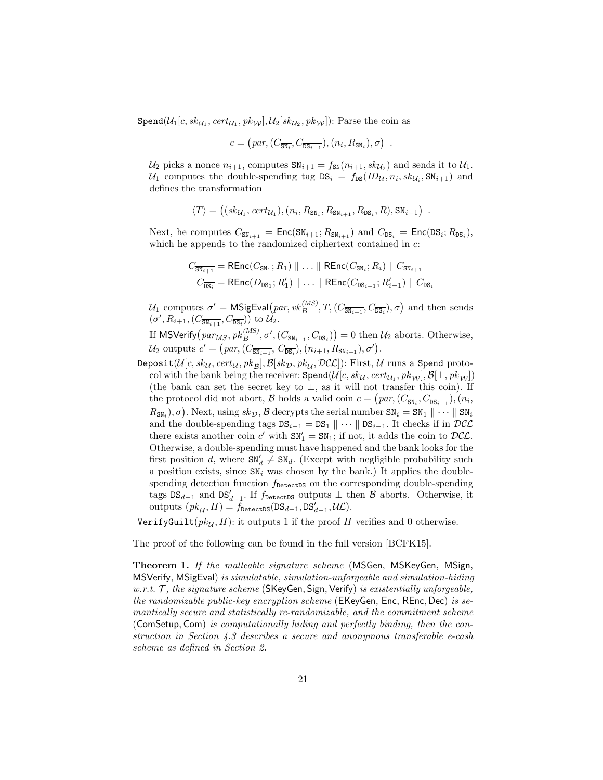$\texttt{Spend}(\mathcal{U}_1[c,sk_{\mathcal{U}_1},cert_{\mathcal{U}_1},pk_{\mathcal{W}}],\mathcal{U}_2[sk_{\mathcal{U}_2},pk_{\mathcal{W}}])$ : Parse the coin as

$$
c = (par, (C_{\overline{\mathbf{SN}_i}}, C_{\overline{\mathbf{DS}_{i-1}}}), (n_i, R_{\mathbf{SN}_i}), \sigma)
$$

.

.

 $\mathcal{U}_2$  picks a nonce  $n_{i+1}$ , computes  $\text{SN}_{i+1} = f_{\text{SN}}(n_{i+1}, sk_{\mathcal{U}_2})$  and sends it to  $\mathcal{U}_1$ .  $\mathcal{U}_1$  computes the double-spending tag  $DS_i = f_{DS}(ID_{\mathcal{U}}, n_i, sk_{\mathcal{U}_i}, SN_{i+1})$  and defines the transformation

$$
\langle T \rangle = \big( (sk_{\mathcal{U}_1}, cert_{\mathcal{U}_1}), (n_i, R_{\text{SN}_i}, R_{\text{SN}_{i+1}}, R_{\text{DS}_i}, R), \text{SN}_{i+1} \big)
$$

Next, he computes  $C_{\text{SN}_{i+1}} = \text{Enc}(\text{SN}_{i+1}; R_{\text{SN}_{i+1}})$  and  $C_{\text{DS}_i} = \text{Enc}(\text{DS}_i; R_{\text{DS}_i}),$ which he appends to the randomized ciphertext contained in  $c$ :

$$
C_{\overline{\text{SN}_{i+1}}} = \text{REnc}(C_{\text{SN}_1}; R_1) \parallel \dots \parallel \text{REnc}(C_{\text{SN}_i}; R_i) \parallel C_{\text{SN}_{i+1}}
$$

$$
C_{\overline{\text{DS}_i}} = \text{REnc}(D_{\text{DS}_1}; R'_1) \parallel \dots \parallel \text{REnc}(C_{\text{DS}_{i-1}}; R'_{i-1}) \parallel C_{\text{DS}_i}
$$

 $\mathcal{U}_1$  computes  $\sigma' = \mathsf{MSigEval}\big(par, vk^{(MS)}_B, T, (C_{\overline{\mathtt{SN}_{i+1}}}, C_{\overline{\mathtt{DS}_i}}), \sigma\big)$  and then sends  $(\sigma', R_{i+1}, (C_{\overline{\mathtt{SN}_{i+1}}}, C_{\overline{\mathtt{DS}_i}}))$  to  $\mathcal{U}_2$ .

If MSVerify $\left(\text{par}_{MS},\text{pk}_B^{(MS)},\sigma', (C_{\overline{\text{SN}_{i+1}}},C_{\overline{\text{DS}_i}})\right) = 0$  then  $\mathcal{U}_2$  aborts. Otherwise,  $\mathcal{U}_2$  outputs  $c' = \left(\text{par}, (C_{\overline{\text{SN}_{i+1}}}, C_{\overline{\text{DS}_i}}), (n_{i+1}, R_{\text{SN}_{i+1}}), \sigma'\right).$ 

Deposit $(\mathcal{U}[c, sk_{\mathcal{U}}, cert_{\mathcal{U}}, pk_{\mathcal{B}}], \mathcal{B}[sk_{\mathcal{D}}, pk_{\mathcal{U}}, \mathcal{DCL}])$ : First,  $\mathcal{U}$  runs a Spend proto- ${\rm col}$  with the bank being the receiver:  ${\tt Spend}({\cal U}[c,sk_{\cal U}, cert_{\cal U_1},pk_{\cal W}],{\cal B}[\bot,pk_{\cal W}])$ (the bank can set the secret key to  $\perp$ , as it will not transfer this coin). If the protocol did not abort, B holds a valid coin  $c = (par, (C_{\overline{SN_i}}, C_{\overline{DS}_{i-1}}), (n_i,$  $R_{\text{SN}_i}$ ,  $\sigma$ ). Next, using  $sk_{\mathcal{D}}, \mathcal{B}$  decrypts the serial number  $\overline{\text{SN}_i} = \text{SN}_1 \parallel \cdots \parallel \text{SN}_i$ and the double-spending tags  $\overline{DS_{i-1}} = DS_1 \parallel \cdots \parallel DS_{i-1}$ . It checks if in  $DCL$ there exists another coin  $c'$  with  $SN_1' = SN_1$ ; if not, it adds the coin to  $DCL$ . Otherwise, a double-spending must have happened and the bank looks for the first position d, where  $\text{SN}_d' \neq \text{SN}_d$ . (Except with negligible probability such a position exists, since  $SN_i$  was chosen by the bank.) It applies the doublespending detection function  $f_{\text{Detects}}$  on the corresponding double-spending tags  $DS_{d-1}$  and  $DS'_{d-1}$ . If  $f_{\text{DetectDS}}$  outputs  $\perp$  then  $\beta$  aborts. Otherwise, it outputs  $(pk_{\mathcal{U}}, \Pi) = f_{\texttt{DetectDS}}(\texttt{DS}_{d-1}, \texttt{DS}_{d-1}', \mathcal{UL}).$ 

VerifyGuilt $(pk_{\mathcal{U}}, \Pi)$ : it outputs 1 if the proof  $\Pi$  verifies and 0 otherwise.

The proof of the following can be found in the full version [BCFK15].

**Theorem 1.** If the malleable signature scheme (MSGen, MSKeyGen, MSign, MSVerify, MSigEval) is simulatable, simulation-unforgeable and simulation-hiding  $w.r.t.$  T, the signature scheme (SKeyGen, Sign, Verify) is existentially unforgeable, the randomizable public-key encryption scheme (EKeyGen, Enc, REnc, Dec) is semantically secure and statistically re-randomizable, and the commitment scheme (ComSetup, Com) is computationally hiding and perfectly binding, then the construction in Section 4.3 describes a secure and anonymous transferable e-cash scheme as defined in Section 2.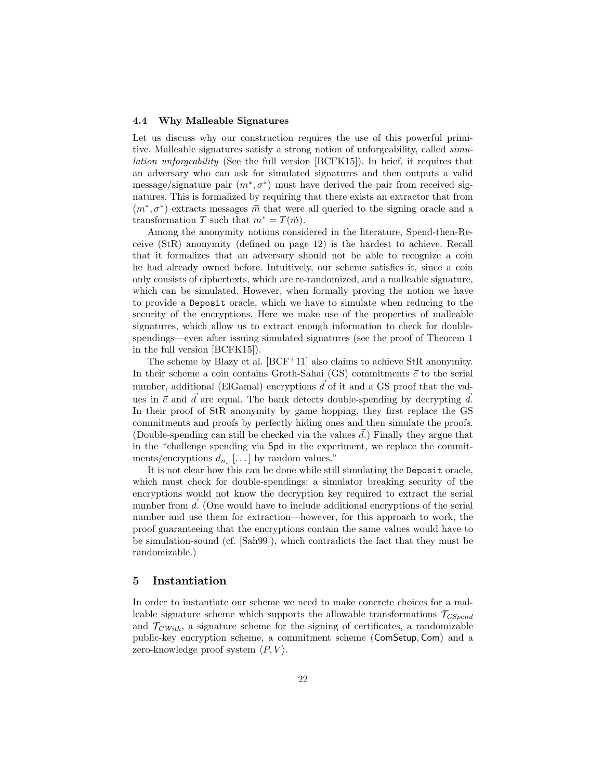#### 4.4 Why Malleable Signatures

Let us discuss why our construction requires the use of this powerful primitive. Malleable signatures satisfy a strong notion of unforgeability, called simulation unforgeability (See the full version [BCFK15]). In brief, it requires that an adversary who can ask for simulated signatures and then outputs a valid message/signature pair  $(m^*, \sigma^*)$  must have derived the pair from received signatures. This is formalized by requiring that there exists an extractor that from  $(m^*, \sigma^*)$  extracts messages  $\vec{m}$  that were all queried to the signing oracle and a transformation T such that  $m^* = T(\vec{m})$ .

Among the anonymity notions considered in the literature, Spend-then-Receive (StR) anonymity (defined on page 12) is the hardest to achieve. Recall that it formalizes that an adversary should not be able to recognize a coin he had already owned before. Intuitively, our scheme satisfies it, since a coin only consists of ciphertexts, which are re-randomized, and a malleable signature, which can be simulated. However, when formally proving the notion we have to provide a Deposit oracle, which we have to simulate when reducing to the security of the encryptions. Here we make use of the properties of malleable signatures, which allow us to extract enough information to check for doublespendings—even after issuing simulated signatures (see the proof of Theorem 1 in the full version [BCFK15]).

The scheme by Blazy et al.  $[BCF^+11]$  also claims to achieve StR anonymity. In their scheme a coin contains Groth-Sahai (GS) commitments  $\vec{c}$  to the serial number, additional (ElGamal) encryptions  $\vec{d}$  of it and a GS proof that the values in  $\vec{c}$  and  $\vec{d}$  are equal. The bank detects double-spending by decrypting  $\vec{d}$ . In their proof of StR anonymity by game hopping, they first replace the GS commitments and proofs by perfectly hiding ones and then simulate the proofs. (Double-spending can still be checked via the values  $d$ .) Finally they argue that in the "challenge spending via Spd in the experiment, we replace the commitments/encryptions  $d_{n_i}$  [...] by random values."

It is not clear how this can be done while still simulating the Deposit oracle, which must check for double-spendings: a simulator breaking security of the encryptions would not know the decryption key required to extract the serial number from  $\overline{d}$ . (One would have to include additional encryptions of the serial number and use them for extraction—however, for this approach to work, the proof guaranteeing that the encryptions contain the same values would have to be simulation-sound (cf. [Sah99]), which contradicts the fact that they must be randomizable.)

### 5 Instantiation

In order to instantiate our scheme we need to make concrete choices for a malleable signature scheme which supports the allowable transformations  $\mathcal{T}_{CSpend}$ and  $\mathcal{T}_{CWith}$ , a signature scheme for the signing of certificates, a randomizable public-key encryption scheme, a commitment scheme (ComSetup, Com) and a zero-knowledge proof system  $\langle P, V \rangle$ .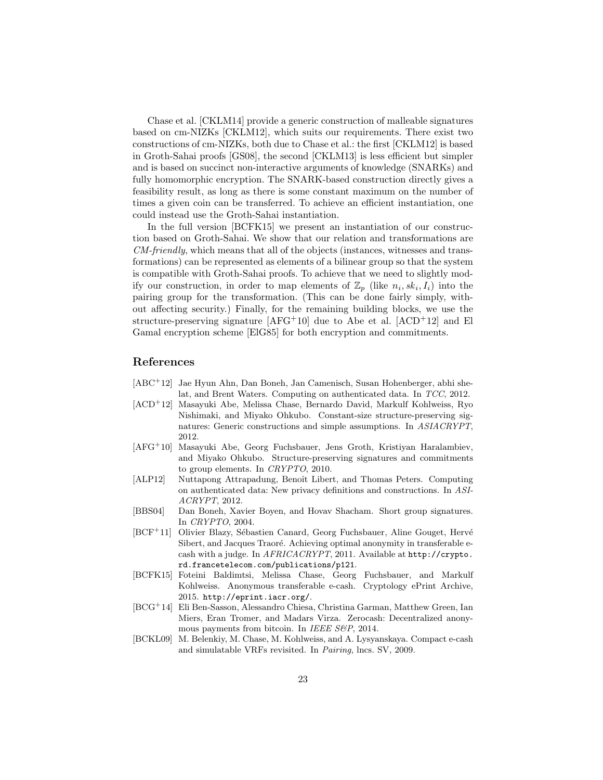Chase et al. [CKLM14] provide a generic construction of malleable signatures based on cm-NIZKs [CKLM12], which suits our requirements. There exist two constructions of cm-NIZKs, both due to Chase et al.: the first [CKLM12] is based in Groth-Sahai proofs [GS08], the second [CKLM13] is less efficient but simpler and is based on succinct non-interactive arguments of knowledge (SNARKs) and fully homomorphic encryption. The SNARK-based construction directly gives a feasibility result, as long as there is some constant maximum on the number of times a given coin can be transferred. To achieve an efficient instantiation, one could instead use the Groth-Sahai instantiation.

In the full version [BCFK15] we present an instantiation of our construction based on Groth-Sahai. We show that our relation and transformations are CM-friendly, which means that all of the objects (instances, witnesses and transformations) can be represented as elements of a bilinear group so that the system is compatible with Groth-Sahai proofs. To achieve that we need to slightly modify our construction, in order to map elements of  $\mathbb{Z}_p$  (like  $n_i, sk_i, I_i$ ) into the pairing group for the transformation. (This can be done fairly simply, without affecting security.) Finally, for the remaining building blocks, we use the structure-preserving signature  $[AFG^+10]$  due to Abe et al.  $[ACD^+12]$  and El Gamal encryption scheme [ElG85] for both encryption and commitments.

## References

- [ABC<sup>+</sup>12] Jae Hyun Ahn, Dan Boneh, Jan Camenisch, Susan Hohenberger, abhi shelat, and Brent Waters. Computing on authenticated data. In TCC, 2012.
- [ACD<sup>+</sup>12] Masayuki Abe, Melissa Chase, Bernardo David, Markulf Kohlweiss, Ryo Nishimaki, and Miyako Ohkubo. Constant-size structure-preserving signatures: Generic constructions and simple assumptions. In ASIACRYPT, 2012.
- [AFG<sup>+</sup>10] Masayuki Abe, Georg Fuchsbauer, Jens Groth, Kristiyan Haralambiev, and Miyako Ohkubo. Structure-preserving signatures and commitments to group elements. In CRYPTO, 2010.
- [ALP12] Nuttapong Attrapadung, Benoît Libert, and Thomas Peters. Computing on authenticated data: New privacy definitions and constructions. In ASI-ACRYPT, 2012.
- [BBS04] Dan Boneh, Xavier Boyen, and Hovav Shacham. Short group signatures. In CRYPTO, 2004.
- $[BCF^+11]$  Olivier Blazy, Sébastien Canard, Georg Fuchsbauer, Aline Gouget, Hervé Sibert, and Jacques Traoré. Achieving optimal anonymity in transferable ecash with a judge. In AFRICACRYPT, 2011. Available at http://crypto. rd.francetelecom.com/publications/p121.
- [BCFK15] Foteini Baldimtsi, Melissa Chase, Georg Fuchsbauer, and Markulf Kohlweiss. Anonymous transferable e-cash. Cryptology ePrint Archive, 2015. http://eprint.iacr.org/.
- [BCG<sup>+</sup>14] Eli Ben-Sasson, Alessandro Chiesa, Christina Garman, Matthew Green, Ian Miers, Eran Tromer, and Madars Virza. Zerocash: Decentralized anonymous payments from bitcoin. In IEEE S&P, 2014.
- [BCKL09] M. Belenkiy, M. Chase, M. Kohlweiss, and A. Lysyanskaya. Compact e-cash and simulatable VRFs revisited. In Pairing, lncs. SV, 2009.